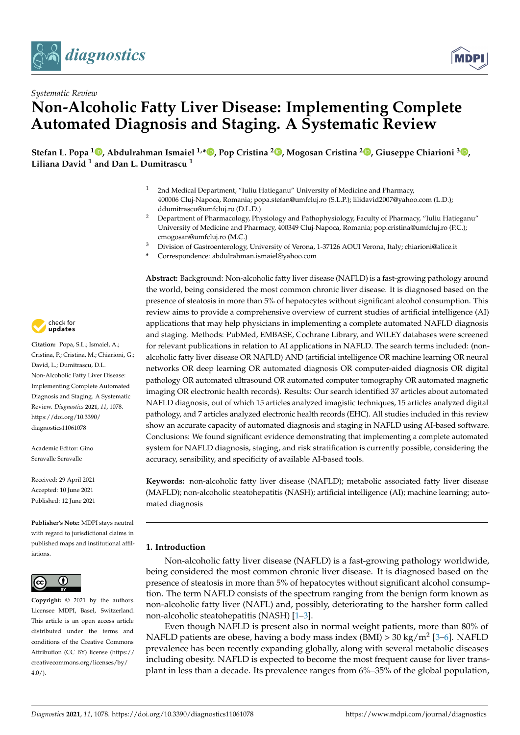



# *Systematic Review* **Non-Alcoholic Fatty Liver Disease: Implementing Complete Automated Diagnosis and Staging. A Systematic Review**

**Stefan L. Popa [1](https://orcid.org/0000-0002-5508-2598) , Abdulrahman Ismaiel 1,\* [,](https://orcid.org/0000-0001-7435-271X) Pop Cristina <sup>2</sup> [,](https://orcid.org/0000-0002-9088-8589) Mogosan Cristina <sup>2</sup> [,](https://orcid.org/0000-0002-6854-2194) Giuseppe Chiarioni <sup>3</sup> [,](https://orcid.org/0000-0002-9183-4750) Liliana David <sup>1</sup> and Dan L. Dumitrascu <sup>1</sup>**

- 2nd Medical Department, "Iuliu Hatieganu" University of Medicine and Pharmacy, 400006 Cluj-Napoca, Romania; popa.stefan@umfcluj.ro (S.L.P.); lilidavid2007@yahoo.com (L.D.); ddumitrascu@umfcluj.ro (D.L.D.)
- <sup>2</sup> Department of Pharmacology, Physiology and Pathophysiology, Faculty of Pharmacy, "Iuliu Hatieganu" University of Medicine and Pharmacy, 400349 Cluj-Napoca, Romania; pop.cristina@umfcluj.ro (P.C.); cmogosan@umfcluj.ro (M.C.)
- <sup>3</sup> Division of Gastroenterology, University of Verona, 1-37126 AOUI Verona, Italy; chiarioni@alice.it
- **\*** Correspondence: abdulrahman.ismaiel@yahoo.com

**Abstract:** Background: Non-alcoholic fatty liver disease (NAFLD) is a fast-growing pathology around the world, being considered the most common chronic liver disease. It is diagnosed based on the presence of steatosis in more than 5% of hepatocytes without significant alcohol consumption. This review aims to provide a comprehensive overview of current studies of artificial intelligence (AI) applications that may help physicians in implementing a complete automated NAFLD diagnosis and staging. Methods: PubMed, EMBASE, Cochrane Library, and WILEY databases were screened for relevant publications in relation to AI applications in NAFLD. The search terms included: (nonalcoholic fatty liver disease OR NAFLD) AND (artificial intelligence OR machine learning OR neural networks OR deep learning OR automated diagnosis OR computer-aided diagnosis OR digital pathology OR automated ultrasound OR automated computer tomography OR automated magnetic imaging OR electronic health records). Results: Our search identified 37 articles about automated NAFLD diagnosis, out of which 15 articles analyzed imagistic techniques, 15 articles analyzed digital pathology, and 7 articles analyzed electronic health records (EHC). All studies included in this review show an accurate capacity of automated diagnosis and staging in NAFLD using AI-based software. Conclusions: We found significant evidence demonstrating that implementing a complete automated system for NAFLD diagnosis, staging, and risk stratification is currently possible, considering the accuracy, sensibility, and specificity of available AI-based tools.

**Keywords:** non-alcoholic fatty liver disease (NAFLD); metabolic associated fatty liver disease (MAFLD); non-alcoholic steatohepatitis (NASH); artificial intelligence (AI); machine learning; automated diagnosis

# **1. Introduction**

Non-alcoholic fatty liver disease (NAFLD) is a fast-growing pathology worldwide, being considered the most common chronic liver disease. It is diagnosed based on the presence of steatosis in more than 5% of hepatocytes without significant alcohol consumption. The term NAFLD consists of the spectrum ranging from the benign form known as non-alcoholic fatty liver (NAFL) and, possibly, deteriorating to the harsher form called non-alcoholic steatohepatitis (NASH) [\[1–](#page-19-0)[3\]](#page-20-0).

Even though NAFLD is present also in normal weight patients, more than 80% of NAFLD patients are obese, having a body mass index (BMI) > 30 kg/m<sup>2</sup> [\[3–](#page-20-0)[6\]](#page-20-1). NAFLD prevalence has been recently expanding globally, along with several metabolic diseases including obesity. NAFLD is expected to become the most frequent cause for liver transplant in less than a decade. Its prevalence ranges from 6%–35% of the global population,



**Citation:** Popa, S.L.; Ismaiel, A.; Cristina, P.; Cristina, M.; Chiarioni, G.; David, L.; Dumitrascu, D.L. Non-Alcoholic Fatty Liver Disease: Implementing Complete Automated Diagnosis and Staging. A Systematic Review. *Diagnostics* **2021**, *11*, 1078. [https://doi.org/10.3390/](https://doi.org/10.3390/diagnostics11061078) [diagnostics11061078](https://doi.org/10.3390/diagnostics11061078)

Academic Editor: Gino Seravalle Seravalle

Received: 29 April 2021 Accepted: 10 June 2021 Published: 12 June 2021

**Publisher's Note:** MDPI stays neutral with regard to jurisdictional claims in published maps and institutional affiliations.



**Copyright:** © 2021 by the authors. Licensee MDPI, Basel, Switzerland. This article is an open access article distributed under the terms and conditions of the Creative Commons Attribution (CC BY) license (https:/[/](https://creativecommons.org/licenses/by/4.0/) [creativecommons.org/licenses/by/](https://creativecommons.org/licenses/by/4.0/)  $4.0/$ ).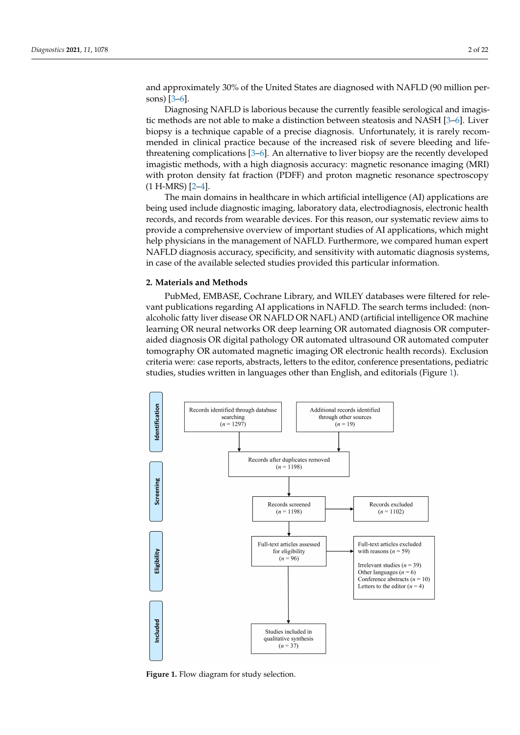and approximately 30% of the United States are diagnosed with NAFLD (90 million persons) [\[3](#page-20-0)[–6\]](#page-20-1).

Diagnosing NAFLD is laborious because the currently feasible serological and imagistic methods are not able to make a distinction between steatosis and NASH [\[3](#page-20-0)[–6\]](#page-20-1). Liver biopsy is a technique capable of a precise diagnosis. Unfortunately, it is rarely recommended in clinical practice because of the increased risk of severe bleeding and lifethreatening complications [\[3](#page-20-0)[–6\]](#page-20-1). An alternative to liver biopsy are the recently developed imagistic methods, with a high diagnosis accuracy: magnetic resonance imaging (MRI) with proton density fat fraction (PDFF) and proton magnetic resonance spectroscopy (1 H-MRS) [\[2–](#page-19-1)[4\]](#page-20-2).

The main domains in healthcare in which artificial intelligence (AI) applications are being used include diagnostic imaging, laboratory data, electrodiagnosis, electronic health records, and records from wearable devices. For this reason, our systematic review aims to provide a comprehensive overview of important studies of AI applications, which might help physicians in the management of NAFLD. Furthermore, we compared human expert NAFLD diagnosis accuracy, specificity, and sensitivity with automatic diagnosis systems, in case of the available selected studies provided this particular information.

## **2. Materials and Methods**

PubMed, EMBASE, Cochrane Library, and WILEY databases were filtered for relevant publications regarding AI applications in NAFLD. The search terms included: (nonalcoholic fatty liver disease OR NAFLD OR NAFL) AND (artificial intelligence OR machine learning OR neural networks OR deep learning OR automated diagnosis OR computeraided diagnosis OR digital pathology OR automated ultrasound OR automated computer tomography OR automated magnetic imaging OR electronic health records). Exclusion criteria were: case reports, abstracts, letters to the editor, conference presentations, pediatric studies, studies written in languages other than English, and editorials (Figure [1\)](#page-1-0).

<span id="page-1-0"></span>

**Figure 1.** Flow diagram for study selection.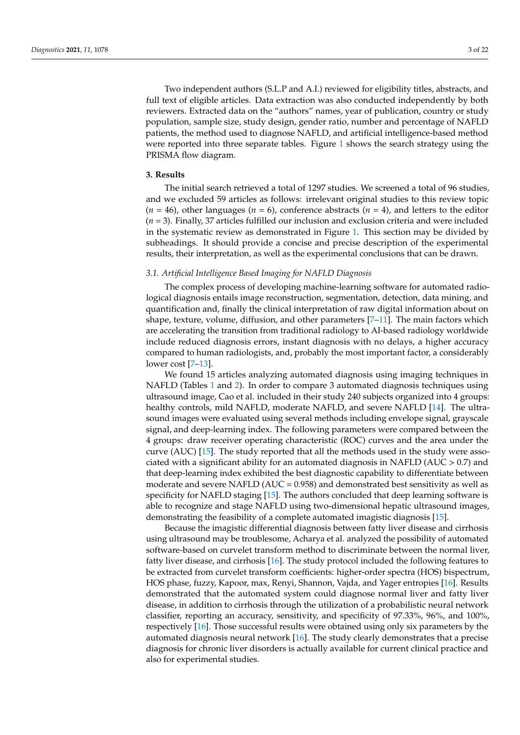Two independent authors (S.L.P and A.I.) reviewed for eligibility titles, abstracts, and full text of eligible articles. Data extraction was also conducted independently by both reviewers. Extracted data on the "authors" names, year of publication, country or study population, sample size, study design, gender ratio, number and percentage of NAFLD patients, the method used to diagnose NAFLD, and artificial intelligence-based method were reported into three separate tables. Figure [1](#page-1-0) shows the search strategy using the PRISMA flow diagram.

#### **3. Results**

The initial search retrieved a total of 1297 studies. We screened a total of 96 studies, and we excluded 59 articles as follows: irrelevant original studies to this review topic  $(n = 46)$ , other languages  $(n = 6)$ , conference abstracts  $(n = 4)$ , and letters to the editor (*n* = 3). Finally, 37 articles fulfilled our inclusion and exclusion criteria and were included in the systematic review as demonstrated in Figure [1.](#page-1-0) This section may be divided by subheadings. It should provide a concise and precise description of the experimental results, their interpretation, as well as the experimental conclusions that can be drawn.

### *3.1. Artificial Intelligence Based Imaging for NAFLD Diagnosis*

The complex process of developing machine-learning software for automated radiological diagnosis entails image reconstruction, segmentation, detection, data mining, and quantification and, finally the clinical interpretation of raw digital information about on shape, texture, volume, diffusion, and other parameters [\[7–](#page-20-3)[11\]](#page-20-4). The main factors which are accelerating the transition from traditional radiology to AI-based radiology worldwide include reduced diagnosis errors, instant diagnosis with no delays, a higher accuracy compared to human radiologists, and, probably the most important factor, a considerably lower cost [\[7](#page-20-3)[–13\]](#page-20-5).

We found 15 articles analyzing automated diagnosis using imaging techniques in NAFLD (Tables [1](#page-5-0) and [2\)](#page-6-0). In order to compare 3 automated diagnosis techniques using ultrasound image, Cao et al. included in their study 240 subjects organized into 4 groups: healthy controls, mild NAFLD, moderate NAFLD, and severe NAFLD [\[14\]](#page-20-6). The ultrasound images were evaluated using several methods including envelope signal, grayscale signal, and deep-learning index. The following parameters were compared between the 4 groups: draw receiver operating characteristic (ROC) curves and the area under the curve (AUC) [\[15\]](#page-20-7). The study reported that all the methods used in the study were associated with a significant ability for an automated diagnosis in NAFLD (AUC > 0.7) and that deep-learning index exhibited the best diagnostic capability to differentiate between moderate and severe NAFLD ( $AUC = 0.958$ ) and demonstrated best sensitivity as well as specificity for NAFLD staging [\[15\]](#page-20-7). The authors concluded that deep learning software is able to recognize and stage NAFLD using two-dimensional hepatic ultrasound images, demonstrating the feasibility of a complete automated imagistic diagnosis [\[15\]](#page-20-7).

Because the imagistic differential diagnosis between fatty liver disease and cirrhosis using ultrasound may be troublesome, Acharya et al. analyzed the possibility of automated software-based on curvelet transform method to discriminate between the normal liver, fatty liver disease, and cirrhosis [\[16\]](#page-20-8). The study protocol included the following features to be extracted from curvelet transform coefficients: higher-order spectra (HOS) bispectrum, HOS phase, fuzzy, Kapoor, max, Renyi, Shannon, Vajda, and Yager entropies [\[16\]](#page-20-8). Results demonstrated that the automated system could diagnose normal liver and fatty liver disease, in addition to cirrhosis through the utilization of a probabilistic neural network classifier, reporting an accuracy, sensitivity, and specificity of 97.33%, 96%, and 100%, respectively [\[16\]](#page-20-8). Those successful results were obtained using only six parameters by the automated diagnosis neural network [\[16\]](#page-20-8). The study clearly demonstrates that a precise diagnosis for chronic liver disorders is actually available for current clinical practice and also for experimental studies.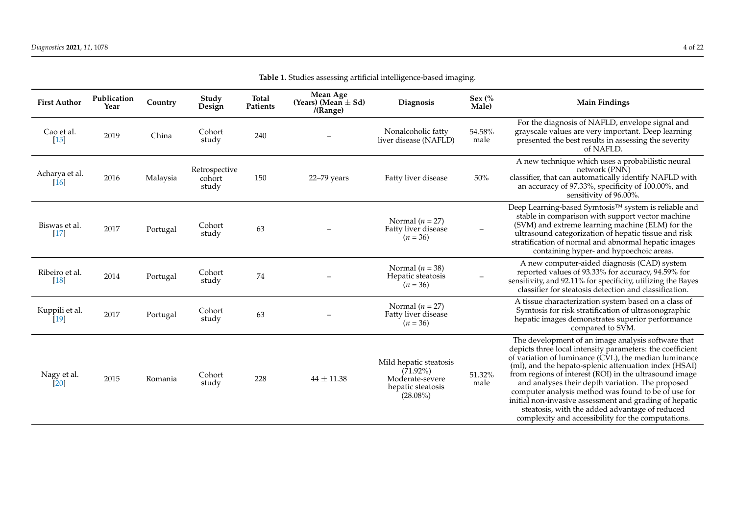| <b>First Author</b>                  | Publication<br>Year | Country  | Study<br>Design                  | <b>Total</b><br>Patients | Mean Age<br>(Years) (Mean $\pm$ Sd)<br>/(Range) | Diagnosis                                                                                    | Sex $\frac{6}{6}$<br>Male) | <b>Main Findings</b>                                                                                                                                                                                                                                                                                                                                                                                                                                                                                                                                                     |
|--------------------------------------|---------------------|----------|----------------------------------|--------------------------|-------------------------------------------------|----------------------------------------------------------------------------------------------|----------------------------|--------------------------------------------------------------------------------------------------------------------------------------------------------------------------------------------------------------------------------------------------------------------------------------------------------------------------------------------------------------------------------------------------------------------------------------------------------------------------------------------------------------------------------------------------------------------------|
| Cao et al.<br>$[15]$                 | 2019                | China    | Cohort<br>study                  | 240                      |                                                 | Nonalcoholic fatty<br>liver disease (NAFLD)                                                  | 54.58%<br>male             | For the diagnosis of NAFLD, envelope signal and<br>grayscale values are very important. Deep learning<br>presented the best results in assessing the severity<br>of NAFLD.                                                                                                                                                                                                                                                                                                                                                                                               |
| Acharya et al.<br>$\lceil 16 \rceil$ | 2016                | Malaysia | Retrospective<br>cohort<br>study | 150                      | 22-79 years                                     | Fatty liver disease                                                                          | $50\%$                     | A new technique which uses a probabilistic neural<br>network (PNN)<br>classifier, that can automatically identify NAFLD with<br>an accuracy of 97.33%, specificity of 100.00%, and<br>sensitivity of 96.00%.                                                                                                                                                                                                                                                                                                                                                             |
| Biswas et al.<br>$[17]$              | 2017                | Portugal | Cohort<br>study                  | 63                       |                                                 | Normal $(n = 27)$<br>Fatty liver disease<br>$(n = 36)$                                       |                            | Deep Learning-based Symtosis™ system is reliable and<br>stable in comparison with support vector machine<br>(SVM) and extreme learning machine (ELM) for the<br>ultrasound categorization of hepatic tissue and risk<br>stratification of normal and abnormal hepatic images<br>containing hyper- and hypoechoic areas.                                                                                                                                                                                                                                                  |
| Ribeiro et al.<br>$[18]$             | 2014                | Portugal | Cohort<br>study                  | 74                       |                                                 | Normal ( $n = 38$ )<br>Hepatic steatosis<br>$(n = 36)$                                       |                            | A new computer-aided diagnosis (CAD) system<br>reported values of 93.33% for accuracy, 94.59% for<br>sensitivity, and 92.11% for specificity, utilizing the Bayes<br>classifier for steatosis detection and classification.                                                                                                                                                                                                                                                                                                                                              |
| Kuppili et al.<br>$[19]$             | 2017                | Portugal | Cohort<br>study                  | 63                       |                                                 | Normal $(n = 27)$<br>Fatty liver disease<br>$(n = 36)$                                       |                            | A tissue characterization system based on a class of<br>Symtosis for risk stratification of ultrasonographic<br>hepatic images demonstrates superior performance<br>compared to SVM.                                                                                                                                                                                                                                                                                                                                                                                     |
| Nagy et al.<br>[20]                  | 2015                | Romania  | Cohort<br>study                  | 228                      | $44 \pm 11.38$                                  | Mild hepatic steatosis<br>$(71.92\%)$<br>Moderate-severe<br>hepatic steatosis<br>$(28.08\%)$ | 51.32%<br>male             | The development of an image analysis software that<br>depicts three local intensity parameters: the coefficient<br>of variation of luminance (CVL), the median luminance<br>(ml), and the hepato-splenic attenuation index (HSAI)<br>from regions of interest (ROI) in the ultrasound image<br>and analyses their depth variation. The proposed<br>computer analysis method was found to be of use for<br>initial non-invasive assessment and grading of hepatic<br>steatosis, with the added advantage of reduced<br>complexity and accessibility for the computations. |

**Table 1.** Studies assessing artificial intelligence-based imaging.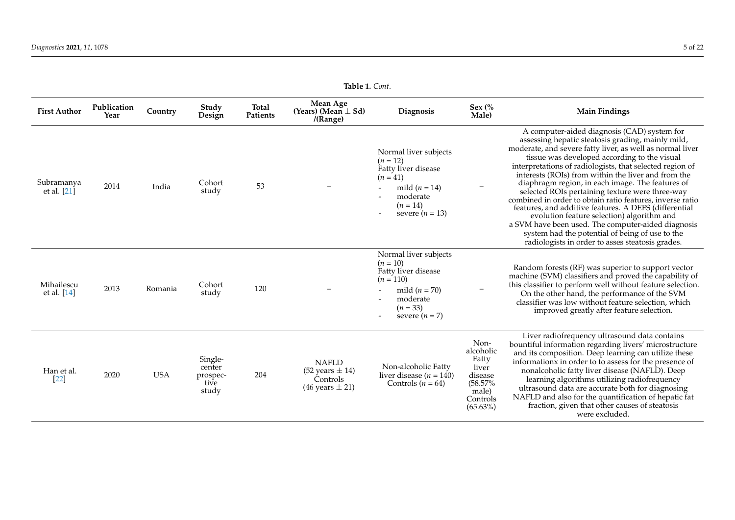| <b>First Author</b>       | Publication<br>Year | Country    | Study<br>Design                                | Total<br>Patients | Mean Age<br>(Years) (Mean $\pm$ Sd)<br>/(Range)                                        | <b>Diagnosis</b>                                                                                                                           | Sex (%<br>Male)                                                                               | <b>Main Findings</b>                                                                                                                                                                                                                                                                                                                                                                                                                                                                                                                                                                                                                                                                                                                                                     |
|---------------------------|---------------------|------------|------------------------------------------------|-------------------|----------------------------------------------------------------------------------------|--------------------------------------------------------------------------------------------------------------------------------------------|-----------------------------------------------------------------------------------------------|--------------------------------------------------------------------------------------------------------------------------------------------------------------------------------------------------------------------------------------------------------------------------------------------------------------------------------------------------------------------------------------------------------------------------------------------------------------------------------------------------------------------------------------------------------------------------------------------------------------------------------------------------------------------------------------------------------------------------------------------------------------------------|
| Subramanya<br>et al. [21] | 2014                | India      | Cohort<br>study                                | 53                |                                                                                        | Normal liver subjects<br>$(n = 12)$<br>Fatty liver disease<br>$(n = 41)$<br>mild $(n = 14)$<br>moderate<br>$(n = 14)$<br>severe $(n = 13)$ |                                                                                               | A computer-aided diagnosis (CAD) system for<br>assessing hepatic steatosis grading, mainly mild,<br>moderate, and severe fatty liver, as well as normal liver<br>tissue was developed according to the visual<br>interpretations of radiologists, that selected region of<br>interests (ROIs) from within the liver and from the<br>diaphragm region, in each image. The features of<br>selected ROIs pertaining texture were three-way<br>combined in order to obtain ratio features, inverse ratio<br>features, and additive features. A DEFS (differential<br>evolution feature selection) algorithm and<br>a SVM have been used. The computer-aided diagnosis<br>system had the potential of being of use to the<br>radiologists in order to asses steatosis grades. |
| Mihailescu<br>et al. [14] | 2013                | Romania    | Cohort<br>study                                | 120               |                                                                                        | Normal liver subjects<br>$(n = 10)$<br>Fatty liver disease<br>$(n = 110)$<br>mild $(n = 70)$<br>moderate<br>$(n = 33)$<br>severe $(n = 7)$ |                                                                                               | Random forests (RF) was superior to support vector<br>machine (SVM) classifiers and proved the capability of<br>this classifier to perform well without feature selection.<br>On the other hand, the performance of the SVM<br>classifier was low without feature selection, which<br>improved greatly after feature selection.                                                                                                                                                                                                                                                                                                                                                                                                                                          |
| Han et al.<br>[22]        | 2020                | <b>USA</b> | Single-<br>center<br>prospec-<br>tive<br>study | 204               | <b>NAFLD</b><br>$(52 \text{ years} \pm 14)$<br>Controls<br>$(46 \text{ years} \pm 21)$ | Non-alcoholic Fatty<br>liver disease ( $n = 140$ )<br>Controls $(n = 64)$                                                                  | Non-<br>alcoholic<br>Fatty<br>liver<br>disease<br>(58.57%<br>male)<br>Controls<br>$(65.63\%)$ | Liver radiofrequency ultrasound data contains<br>bountiful information regarding livers' microstructure<br>and its composition. Deep learning can utilize these<br>informationx in order to to assess for the presence of<br>nonalcoholic fatty liver disease (NAFLD). Deep<br>learning algorithms utilizing radiofrequency<br>ultrasound data are accurate both for diagnosing<br>NAFLD and also for the quantification of hepatic fat<br>fraction, given that other causes of steatosis<br>were excluded.                                                                                                                                                                                                                                                              |

**Table 1.** *Cont*.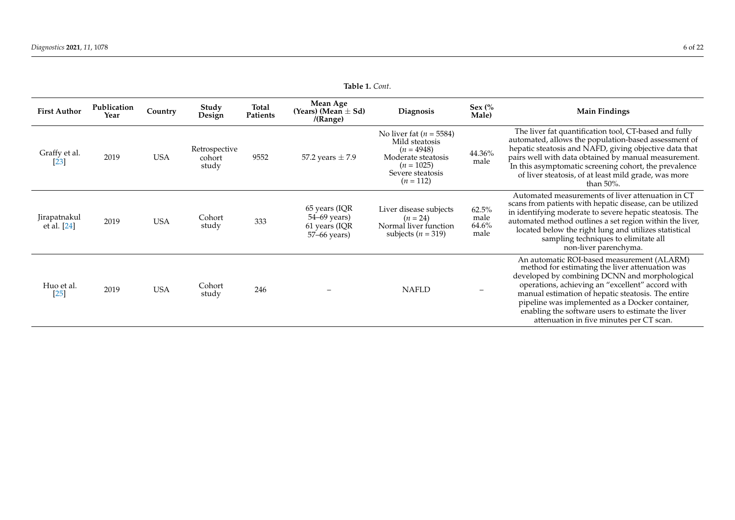<span id="page-5-0"></span>

| <b>First Author</b>         | Publication<br>Year | Country    | Study<br>Design                  | Total<br>Patients | Mean Age<br>(Years) (Mean $\pm$ Sd)<br>/(Range)                | Diagnosis                                                                                                                              | Sex $\frac{6}{6}$<br>Male)     | <b>Main Findings</b>                                                                                                                                                                                                                                                                                                                                                                                         |
|-----------------------------|---------------------|------------|----------------------------------|-------------------|----------------------------------------------------------------|----------------------------------------------------------------------------------------------------------------------------------------|--------------------------------|--------------------------------------------------------------------------------------------------------------------------------------------------------------------------------------------------------------------------------------------------------------------------------------------------------------------------------------------------------------------------------------------------------------|
| Graffy et al.<br>$[23]$     | 2019                | USA        | Retrospective<br>cohort<br>study | 9552              | 57.2 years $\pm$ 7.9                                           | No liver fat ( $n = 5584$ )<br>Mild steatosis<br>$(n = 4948)$<br>Moderate steatosis<br>$(n = 1025)$<br>Severe steatosis<br>$(n = 112)$ | 44.36%<br>male                 | The liver fat quantification tool, CT-based and fully<br>automated, allows the population-based assessment of<br>hepatic steatosis and NAFD, giving objective data that<br>pairs well with data obtained by manual measurement.<br>In this asymptomatic screening cohort, the prevalence<br>of liver steatosis, of at least mild grade, was more<br>than $50\%$ .                                            |
| Jirapatnakul<br>et al. [24] | 2019                | <b>USA</b> | Cohort<br>study                  | 333               | 65 years (IQR<br>54–69 years)<br>61 years (IQR<br>57–66 years) | Liver disease subjects<br>$(n = 24)$<br>Normal liver function<br>subjects ( $n = 319$ )                                                | 62.5%<br>male<br>64.6%<br>male | Automated measurements of liver attenuation in CT<br>scans from patients with hepatic disease, can be utilized<br>in identifying moderate to severe hepatic steatosis. The<br>automated method outlines a set region within the liver,<br>located below the right lung and utilizes statistical<br>sampling techniques to elimitate all<br>non-liver parenchyma.                                             |
| Huo et al.<br>$[25]$        | 2019                | <b>USA</b> | Cohort<br>study                  | 246               |                                                                | <b>NAFLD</b>                                                                                                                           |                                | An automatic ROI-based measurement (ALARM)<br>method for estimating the liver attenuation was<br>developed by combining DCNN and morphological<br>operations, achieving an "excellent" accord with<br>manual estimation of hepatic steatosis. The entire<br>pipeline was implemented as a Docker container,<br>enabling the software users to estimate the liver<br>attenuation in five minutes per CT scan. |

**Table 1.** *Cont*.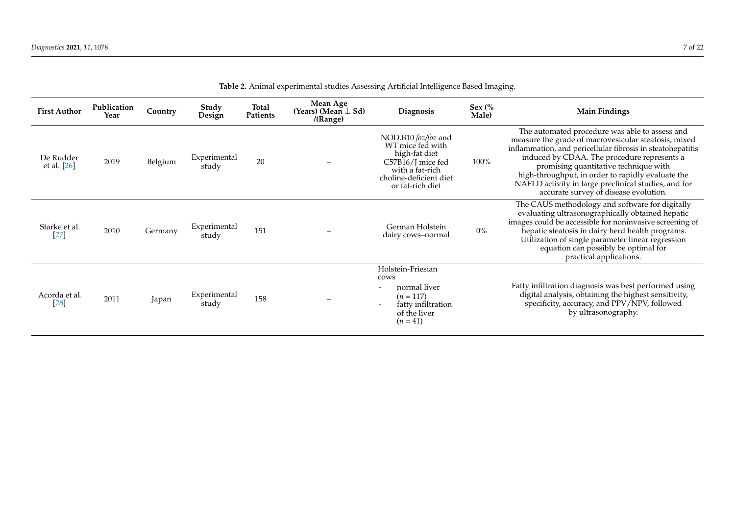<span id="page-6-0"></span>

| <b>First Author</b>      | Publication<br>Year | Country | Study<br>Design       | Total<br>Patients | Mean Age<br>(Years) (Mean $\pm$ Sd)<br>/(Range) | Diagnosis                                                                                                                                      | Sex $\frac{6}{6}$<br>Male) | <b>Main Findings</b>                                                                                                                                                                                                                                                                                                                                                                                               |
|--------------------------|---------------------|---------|-----------------------|-------------------|-------------------------------------------------|------------------------------------------------------------------------------------------------------------------------------------------------|----------------------------|--------------------------------------------------------------------------------------------------------------------------------------------------------------------------------------------------------------------------------------------------------------------------------------------------------------------------------------------------------------------------------------------------------------------|
| De Rudder<br>et al. [26] | 2019                | Belgium | Experimental<br>study | 20                |                                                 | NOD.B10 foz/foz and<br>WT mice fed with<br>high-fat diet<br>C57B16/J mice fed<br>with a fat-rich<br>choline-deficient diet<br>or fat-rich diet | 100%                       | The automated procedure was able to assess and<br>measure the grade of macrovesicular steatosis, mixed<br>inflammation, and pericellular fibrosis in steatohepatitis<br>induced by CDAA. The procedure represents a<br>promising quantitative technique with<br>high-throughput, in order to rapidly evaluate the<br>NAFLD activity in large preclinical studies, and for<br>accurate survey of disease evolution. |
| Starke et al.<br>$[27]$  | 2010                | Germany | Experimental<br>study | 151               |                                                 | German Holstein<br>dairy cows-normal                                                                                                           | $0\%$                      | The CAUS methodology and software for digitally<br>evaluating ultrasonographically obtained hepatic<br>images could be accessible for noninvasive screening of<br>hepatic steatosis in dairy herd health programs.<br>Utilization of single parameter linear regression<br>equation can possibly be optimal for<br>practical applications.                                                                         |
| Acorda et al.<br>[28]    | 2011                | Japan   | Experimental<br>study | 158               |                                                 | Holstein-Friesian<br>cows<br>normal liver<br>$(n = 117)$<br>fatty infiltration<br>$\overline{\phantom{a}}$<br>of the liver<br>$(n = 41)$       |                            | Fatty infiltration diagnosis was best performed using<br>digital analysis, obtaining the highest sensitivity,<br>specificity, accuracy, and PPV/NPV, followed<br>by ultrasonography.                                                                                                                                                                                                                               |

| Table 2. Animal experimental studies Assessing Artificial Intelligence Based Imaging. |  |
|---------------------------------------------------------------------------------------|--|
|---------------------------------------------------------------------------------------|--|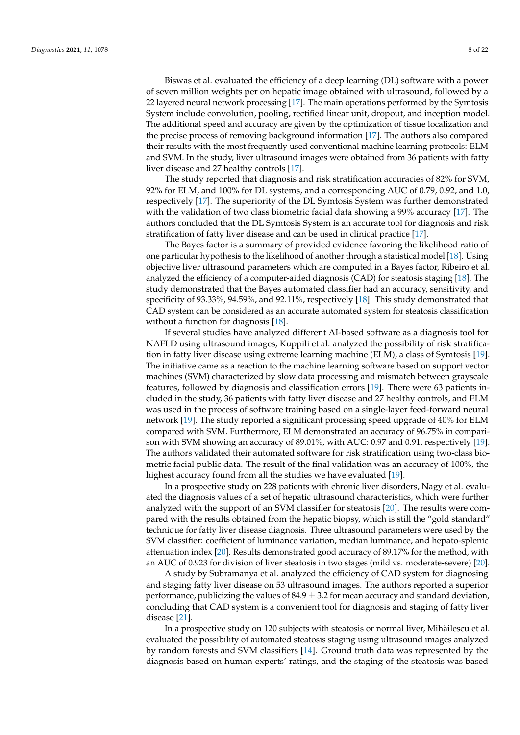Biswas et al. evaluated the efficiency of a deep learning (DL) software with a power of seven million weights per on hepatic image obtained with ultrasound, followed by a 22 layered neural network processing [\[17\]](#page-20-24). The main operations performed by the Symtosis System include convolution, pooling, rectified linear unit, dropout, and inception model. The additional speed and accuracy are given by the optimization of tissue localization and the precise process of removing background information [\[17\]](#page-20-24). The authors also compared their results with the most frequently used conventional machine learning protocols: ELM and SVM. In the study, liver ultrasound images were obtained from 36 patients with fatty liver disease and 27 healthy controls [\[17\]](#page-20-24).

The study reported that diagnosis and risk stratification accuracies of 82% for SVM, 92% for ELM, and 100% for DL systems, and a corresponding AUC of 0.79, 0.92, and 1.0, respectively [\[17\]](#page-20-24). The superiority of the DL Symtosis System was further demonstrated with the validation of two class biometric facial data showing a 99% accuracy [\[17\]](#page-20-24). The authors concluded that the DL Symtosis System is an accurate tool for diagnosis and risk stratification of fatty liver disease and can be used in clinical practice [\[17\]](#page-20-24).

The Bayes factor is a summary of provided evidence favoring the likelihood ratio of one particular hypothesis to the likelihood of another through a statistical model [\[18\]](#page-20-25). Using objective liver ultrasound parameters which are computed in a Bayes factor, Ribeiro et al. analyzed the efficiency of a computer-aided diagnosis (CAD) for steatosis staging [\[18\]](#page-20-25). The study demonstrated that the Bayes automated classifier had an accuracy, sensitivity, and specificity of 93.33%, 94.59%, and 92.11%, respectively [\[18\]](#page-20-25). This study demonstrated that CAD system can be considered as an accurate automated system for steatosis classification without a function for diagnosis [\[18\]](#page-20-25).

If several studies have analyzed different AI-based software as a diagnosis tool for NAFLD using ultrasound images, Kuppili et al. analyzed the possibility of risk stratification in fatty liver disease using extreme learning machine (ELM), a class of Symtosis [\[19\]](#page-20-26). The initiative came as a reaction to the machine learning software based on support vector machines (SVM) characterized by slow data processing and mismatch between grayscale features, followed by diagnosis and classification errors [\[19\]](#page-20-26). There were 63 patients included in the study, 36 patients with fatty liver disease and 27 healthy controls, and ELM was used in the process of software training based on a single-layer feed-forward neural network [\[19\]](#page-20-26). The study reported a significant processing speed upgrade of 40% for ELM compared with SVM. Furthermore, ELM demonstrated an accuracy of 96.75% in comparison with SVM showing an accuracy of 89.01%, with AUC: 0.97 and 0.91, respectively [\[19\]](#page-20-26). The authors validated their automated software for risk stratification using two-class biometric facial public data. The result of the final validation was an accuracy of 100%, the highest accuracy found from all the studies we have evaluated [\[19\]](#page-20-26).

In a prospective study on 228 patients with chronic liver disorders, Nagy et al. evaluated the diagnosis values of a set of hepatic ultrasound characteristics, which were further analyzed with the support of an SVM classifier for steatosis [\[20\]](#page-20-27). The results were compared with the results obtained from the hepatic biopsy, which is still the "gold standard" technique for fatty liver disease diagnosis. Three ultrasound parameters were used by the SVM classifier: coefficient of luminance variation, median luminance, and hepato-splenic attenuation index [\[20\]](#page-20-27). Results demonstrated good accuracy of 89.17% for the method, with an AUC of 0.923 for division of liver steatosis in two stages (mild vs. moderate-severe) [\[20\]](#page-20-27).

A study by Subramanya et al. analyzed the efficiency of CAD system for diagnosing and staging fatty liver disease on 53 ultrasound images. The authors reported a superior performance, publicizing the values of  $84.9 \pm 3.2$  for mean accuracy and standard deviation, concluding that CAD system is a convenient tool for diagnosis and staging of fatty liver disease [\[21\]](#page-20-28).

In a prospective study on 120 subjects with steatosis or normal liver, Mihăilescu et al. evaluated the possibility of automated steatosis staging using ultrasound images analyzed by random forests and SVM classifiers [\[14\]](#page-20-6). Ground truth data was represented by the diagnosis based on human experts' ratings, and the staging of the steatosis was based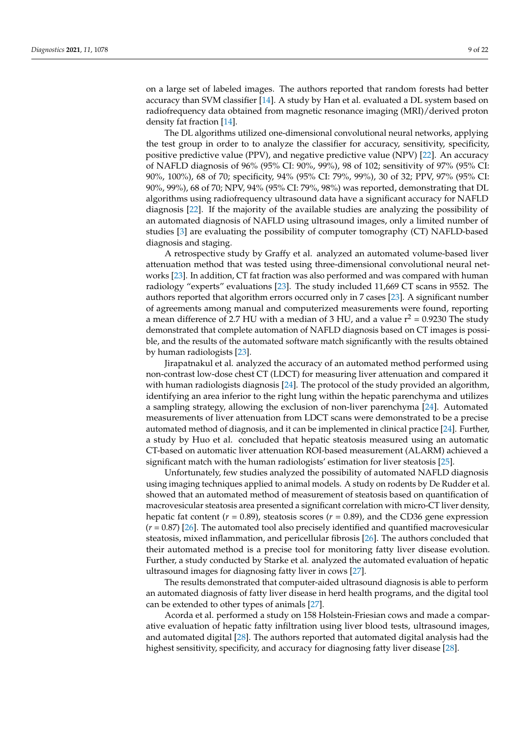on a large set of labeled images. The authors reported that random forests had better accuracy than SVM classifier [\[14\]](#page-20-6). A study by Han et al. evaluated a DL system based on radiofrequency data obtained from magnetic resonance imaging (MRI)/derived proton density fat fraction [\[14\]](#page-20-6).

The DL algorithms utilized one-dimensional convolutional neural networks, applying the test group in order to to analyze the classifier for accuracy, sensitivity, specificity, positive predictive value (PPV), and negative predictive value (NPV) [\[22\]](#page-20-29). An accuracy of NAFLD diagnosis of 96% (95% CI: 90%, 99%), 98 of 102; sensitivity of 97% (95% CI: 90%, 100%), 68 of 70; specificity, 94% (95% CI: 79%, 99%), 30 of 32; PPV, 97% (95% CI: 90%, 99%), 68 of 70; NPV, 94% (95% CI: 79%, 98%) was reported, demonstrating that DL algorithms using radiofrequency ultrasound data have a significant accuracy for NAFLD diagnosis [\[22\]](#page-20-29). If the majority of the available studies are analyzing the possibility of an automated diagnosis of NAFLD using ultrasound images, only a limited number of studies [\[3\]](#page-20-0) are evaluating the possibility of computer tomography (CT) NAFLD-based diagnosis and staging.

A retrospective study by Graffy et al. analyzed an automated volume-based liver attenuation method that was tested using three-dimensional convolutional neural networks [\[23\]](#page-20-30). In addition, CT fat fraction was also performed and was compared with human radiology "experts" evaluations [\[23\]](#page-20-30). The study included 11,669 CT scans in 9552. The authors reported that algorithm errors occurred only in 7 cases [\[23\]](#page-20-30). A significant number of agreements among manual and computerized measurements were found, reporting a mean difference of 2.7 HU with a median of 3 HU, and a value  $r^2 = 0.9230$  The study demonstrated that complete automation of NAFLD diagnosis based on CT images is possible, and the results of the automated software match significantly with the results obtained by human radiologists [\[23\]](#page-20-30).

Jirapatnakul et al. analyzed the accuracy of an automated method performed using non-contrast low-dose chest CT (LDCT) for measuring liver attenuation and compared it with human radiologists diagnosis [\[24\]](#page-20-31). The protocol of the study provided an algorithm, identifying an area inferior to the right lung within the hepatic parenchyma and utilizes a sampling strategy, allowing the exclusion of non-liver parenchyma [\[24\]](#page-20-31). Automated measurements of liver attenuation from LDCT scans were demonstrated to be a precise automated method of diagnosis, and it can be implemented in clinical practice [\[24\]](#page-20-31). Further, a study by Huo et al. concluded that hepatic steatosis measured using an automatic CT-based on automatic liver attenuation ROI-based measurement (ALARM) achieved a significant match with the human radiologists' estimation for liver steatosis [\[25\]](#page-20-32).

Unfortunately, few studies analyzed the possibility of automated NAFLD diagnosis using imaging techniques applied to animal models. A study on rodents by De Rudder et al. showed that an automated method of measurement of steatosis based on quantification of macrovesicular steatosis area presented a significant correlation with micro-CT liver density, hepatic fat content ( $r = 0.89$ ), steatosis scores ( $r = 0.89$ ), and the CD36 gene expression (*r* = 0.87) [\[26\]](#page-20-33). The automated tool also precisely identified and quantified macrovesicular steatosis, mixed inflammation, and pericellular fibrosis [\[26\]](#page-20-33). The authors concluded that their automated method is a precise tool for monitoring fatty liver disease evolution. Further, a study conducted by Starke et al. analyzed the automated evaluation of hepatic ultrasound images for diagnosing fatty liver in cows [\[27\]](#page-20-34).

The results demonstrated that computer-aided ultrasound diagnosis is able to perform an automated diagnosis of fatty liver disease in herd health programs, and the digital tool can be extended to other types of animals [\[27\]](#page-20-34).

Acorda et al. performed a study on 158 Holstein-Friesian cows and made a comparative evaluation of hepatic fatty infiltration using liver blood tests, ultrasound images, and automated digital [\[28\]](#page-20-35). The authors reported that automated digital analysis had the highest sensitivity, specificity, and accuracy for diagnosing fatty liver disease [\[28\]](#page-20-35).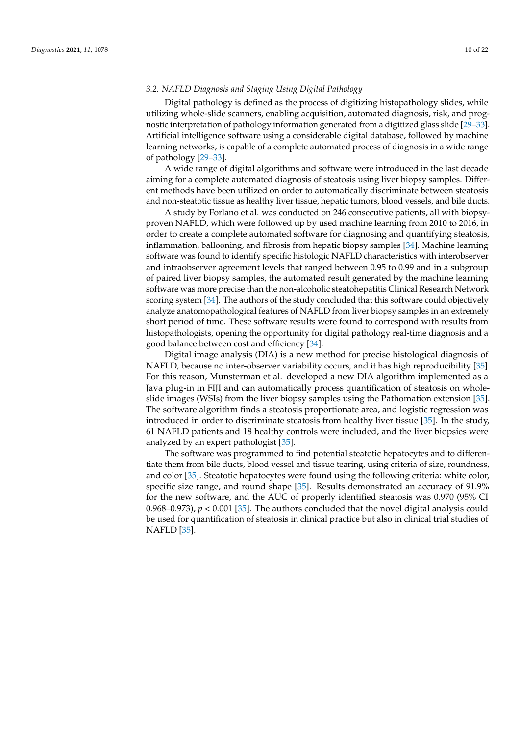#### *3.2. NAFLD Diagnosis and Staging Using Digital Pathology*

Digital pathology is defined as the process of digitizing histopathology slides, while utilizing whole-slide scanners, enabling acquisition, automated diagnosis, risk, and prognostic interpretation of pathology information generated from a digitized glass slide [\[29](#page-20-36)[–33\]](#page-21-0). Artificial intelligence software using a considerable digital database, followed by machine learning networks, is capable of a complete automated process of diagnosis in a wide range of pathology [\[29](#page-20-36)[–33\]](#page-21-0).

A wide range of digital algorithms and software were introduced in the last decade aiming for a complete automated diagnosis of steatosis using liver biopsy samples. Different methods have been utilized on order to automatically discriminate between steatosis and non-steatotic tissue as healthy liver tissue, hepatic tumors, blood vessels, and bile ducts.

A study by Forlano et al. was conducted on 246 consecutive patients, all with biopsyproven NAFLD, which were followed up by used machine learning from 2010 to 2016, in order to create a complete automated software for diagnosing and quantifying steatosis, inflammation, ballooning, and fibrosis from hepatic biopsy samples [\[34\]](#page-21-1). Machine learning software was found to identify specific histologic NAFLD characteristics with interobserver and intraobserver agreement levels that ranged between 0.95 to 0.99 and in a subgroup of paired liver biopsy samples, the automated result generated by the machine learning software was more precise than the non-alcoholic steatohepatitis Clinical Research Network scoring system [\[34\]](#page-21-1). The authors of the study concluded that this software could objectively analyze anatomopathological features of NAFLD from liver biopsy samples in an extremely short period of time. These software results were found to correspond with results from histopathologists, opening the opportunity for digital pathology real-time diagnosis and a good balance between cost and efficiency [\[34\]](#page-21-1).

Digital image analysis (DIA) is a new method for precise histological diagnosis of NAFLD, because no inter-observer variability occurs, and it has high reproducibility [\[35\]](#page-21-2). For this reason, Munsterman et al. developed a new DIA algorithm implemented as a Java plug-in in FIJI and can automatically process quantification of steatosis on wholeslide images (WSIs) from the liver biopsy samples using the Pathomation extension [\[35\]](#page-21-2). The software algorithm finds a steatosis proportionate area, and logistic regression was introduced in order to discriminate steatosis from healthy liver tissue [\[35\]](#page-21-2). In the study, 61 NAFLD patients and 18 healthy controls were included, and the liver biopsies were analyzed by an expert pathologist [\[35\]](#page-21-2).

The software was programmed to find potential steatotic hepatocytes and to differentiate them from bile ducts, blood vessel and tissue tearing, using criteria of size, roundness, and color [\[35\]](#page-21-2). Steatotic hepatocytes were found using the following criteria: white color, specific size range, and round shape [\[35\]](#page-21-2). Results demonstrated an accuracy of 91.9% for the new software, and the AUC of properly identified steatosis was 0.970 (95% CI 0.968–0.973),  $p < 0.001$  [\[35\]](#page-21-2). The authors concluded that the novel digital analysis could be used for quantification of steatosis in clinical practice but also in clinical trial studies of NAFLD [\[35\]](#page-21-2).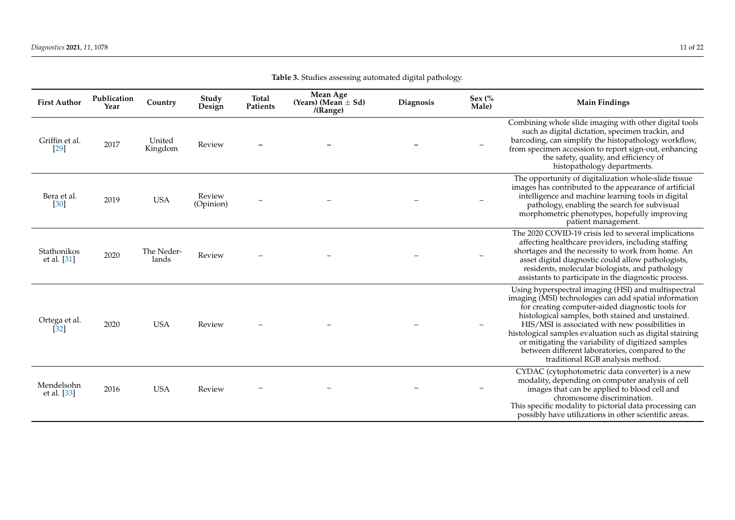| <b>First Author</b>        | Publication<br>Year | Country             | Study<br>Design     | <b>Total</b><br><b>Patients</b> | Mean Age<br>(Years) (Mean $\pm$ Sd)<br>/(Range) | Diagnosis | Sex $\frac{6}{6}$<br>Male) | <b>Main Findings</b>                                                                                                                                                                                                                                                                                                                                                                                                                                                               |
|----------------------------|---------------------|---------------------|---------------------|---------------------------------|-------------------------------------------------|-----------|----------------------------|------------------------------------------------------------------------------------------------------------------------------------------------------------------------------------------------------------------------------------------------------------------------------------------------------------------------------------------------------------------------------------------------------------------------------------------------------------------------------------|
| Griffin et al.<br>$[29]$   | 2017                | United<br>Kingdom   | Review              |                                 |                                                 |           |                            | Combining whole slide imaging with other digital tools<br>such as digital dictation, specimen trackin, and<br>barcoding, can simplify the histopathology workflow,<br>from specimen accession to report sign-out, enhancing<br>the safety, quality, and efficiency of<br>histopathology departments.                                                                                                                                                                               |
| Bera et al.<br>[30]        | 2019                | <b>USA</b>          | Review<br>(Opinion) |                                 |                                                 |           |                            | The opportunity of digitalization whole-slide tissue<br>images has contributed to the appearance of artificial<br>intelligence and machine learning tools in digital<br>pathology, enabling the search for subvisual<br>morphometric phenotypes, hopefully improving<br>patient management.                                                                                                                                                                                        |
| Stathonikos<br>et al. [31] | 2020                | The Neder-<br>lands | Review              |                                 |                                                 |           |                            | The 2020 COVID-19 crisis led to several implications<br>affecting healthcare providers, including staffing<br>shortages and the necessity to work from home. An<br>asset digital diagnostic could allow pathologists,<br>residents, molecular biologists, and pathology<br>assistants to participate in the diagnostic process.                                                                                                                                                    |
| Ortega et al.<br>[32]      | 2020                | <b>USA</b>          | Review              |                                 |                                                 |           |                            | Using hyperspectral imaging (HSI) and multispectral<br>imaging (MSI) technologies can add spatial information<br>for creating computer-aided diagnostic tools for<br>histological samples, both stained and unstained.<br>HIS/MSI is associated with new possibilities in<br>histological samples evaluation such as digital staining<br>or mitigating the variability of digitized samples<br>between different laboratories, compared to the<br>traditional RGB analysis method. |
| Mendelsohn<br>et al. [33]  | 2016                | <b>USA</b>          | Review              |                                 |                                                 |           |                            | CYDAC (cytophotometric data converter) is a new<br>modality, depending on computer analysis of cell<br>images that can be applied to blood cell and<br>chromosome discrimination.<br>This specific modality to pictorial data processing can<br>possibly have utilizations in other scientific areas.                                                                                                                                                                              |

**Table 3.** Studies assessing automated digital pathology.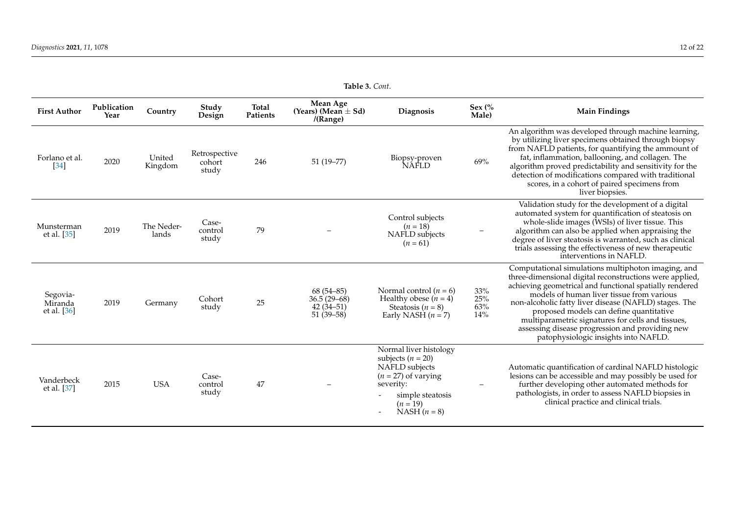| <b>First Author</b>                | Publication<br>Year | Country             | Study<br>Design                  | Total<br>Patients | Mean Age<br>(Years) (Mean $\pm$ Sd)<br>/(Range)              | Diagnosis                                                                                                                                              | Sex $\frac{6}{6}$<br>Male)        | <b>Main Findings</b>                                                                                                                                                                                                                                                                                                                                                                                                                                                      |  |  |
|------------------------------------|---------------------|---------------------|----------------------------------|-------------------|--------------------------------------------------------------|--------------------------------------------------------------------------------------------------------------------------------------------------------|-----------------------------------|---------------------------------------------------------------------------------------------------------------------------------------------------------------------------------------------------------------------------------------------------------------------------------------------------------------------------------------------------------------------------------------------------------------------------------------------------------------------------|--|--|
| Forlano et al.<br>[34]             | 2020                | United<br>Kingdom   | Retrospective<br>cohort<br>study | 246               | $51(19 - 77)$                                                | Biopsy-proven<br>NAFLD                                                                                                                                 | 69%                               | An algorithm was developed through machine learning,<br>by utilizing liver specimens obtained through biopsy<br>from NAFLD patients, for quantifying the ammount of<br>fat, inflammation, ballooning, and collagen. The<br>algorithm proved predictability and sensitivity for the<br>detection of modifications compared with traditional<br>scores, in a cohort of paired specimens from<br>liver biopsies.                                                             |  |  |
| Munsterman<br>et al. [35]          | 2019                | The Neder-<br>lands | Case-<br>control<br>study        | 79                |                                                              | Control subjects<br>$(n = 18)$<br>NAFLD subjects<br>$(n = 61)$                                                                                         |                                   | Validation study for the development of a digital<br>automated system for quantification of steatosis on<br>whole-slide images (WSIs) of liver tissue. This<br>algorithm can also be applied when appraising the<br>degree of liver steatosis is warranted, such as clinical<br>trials assessing the effectiveness of new therapeutic<br>interventions in NAFLD.                                                                                                          |  |  |
| Segovia-<br>Miranda<br>et al. [36] | 2019                | Germany             | Cohort<br>study                  | 25                | $68(54 - 85)$<br>$36.5(29-68)$<br>$42(34-51)$<br>$51(39-58)$ | Normal control $(n = 6)$<br>Healthy obese $(n = 4)$<br>Steatosis ( $n = 8$ )<br>Early NASH $(n = 7)$                                                   | $33\%$<br>$25\%$<br>$63\%$<br>14% | Computational simulations multiphoton imaging, and<br>three-dimensional digital reconstructions were applied,<br>achieving geometrical and functional spatially rendered<br>models of human liver tissue from various<br>non-alcoholic fatty liver disease (NAFLD) stages. The<br>proposed models can define quantitative<br>multiparametric signatures for cells and tissues,<br>assessing disease progression and providing new<br>patophysiologic insights into NAFLD. |  |  |
| Vanderbeck<br>et al. [37]          | 2015                | <b>USA</b>          | Case-<br>control<br>study        | 47                |                                                              | Normal liver histology<br>subjects $(n = 20)$<br>NAFLD subjects<br>$(n = 27)$ of varying<br>severity:<br>simple steatosis<br>$(n = 19)$<br>$NASH(n=8)$ |                                   | Automatic quantification of cardinal NAFLD histologic<br>lesions can be accessible and may possibly be used for<br>further developing other automated methods for<br>pathologists, in order to assess NAFLD biopsies in<br>clinical practice and clinical trials.                                                                                                                                                                                                         |  |  |

**Table 3.** *Cont*.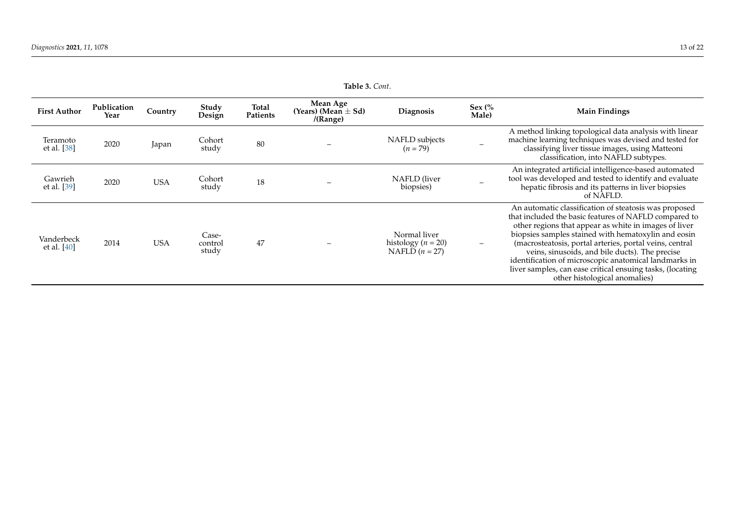| <b>First Author</b>       | Publication<br>Year | Country    | Study<br>Design           | Total<br>Patients | Mean Age<br>(Years) (Mean $\pm$ Sd)<br>/(Range) | <b>Diagnosis</b>                                           | Sex $\frac{6}{6}$<br>Male) | <b>Main Findings</b>                                                                                                                                                                                                                                                                                                                                                                                                                                                                               |
|---------------------------|---------------------|------------|---------------------------|-------------------|-------------------------------------------------|------------------------------------------------------------|----------------------------|----------------------------------------------------------------------------------------------------------------------------------------------------------------------------------------------------------------------------------------------------------------------------------------------------------------------------------------------------------------------------------------------------------------------------------------------------------------------------------------------------|
| Teramoto<br>et al. [38]   | 2020                | Japan      | Cohort<br>study           | 80                |                                                 | NAFLD subjects<br>$(n = 79)$                               |                            | A method linking topological data analysis with linear<br>machine learning techniques was devised and tested for<br>classifying liver tissue images, using Matteoni<br>classification, into NAFLD subtypes.                                                                                                                                                                                                                                                                                        |
| Gawrieh<br>et al. [39]    | 2020                | USA        | Cohort<br>study           | 18                |                                                 | NAFLD (liver<br>biopsies)                                  |                            | An integrated artificial intelligence-based automated<br>tool was developed and tested to identify and evaluate<br>hepatic fibrosis and its patterns in liver biopsies<br>of NAFLD.                                                                                                                                                                                                                                                                                                                |
| Vanderbeck<br>et al. [40] | 2014                | <b>USA</b> | Case-<br>control<br>study | 47                |                                                 | Normal liver<br>histology ( $n = 20$ )<br>NAFLD $(n = 27)$ |                            | An automatic classification of steatosis was proposed<br>that included the basic features of NAFLD compared to<br>other regions that appear as white in images of liver<br>biopsies samples stained with hematoxylin and eosin<br>(macrosteatosis, portal arteries, portal veins, central<br>veins, sinusoids, and bile ducts). The precise<br>identification of microscopic anatomical landmarks in<br>liver samples, can ease critical ensuing tasks, (locating<br>other histological anomalies) |

**Table 3.** *Cont*.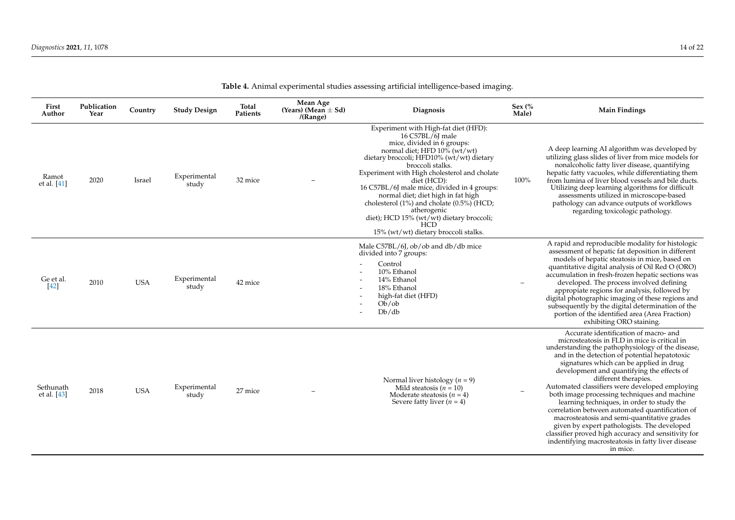| cial intelligence-based imaging.                                                                                                  |                            |                                                                                                                                                                  |
|-----------------------------------------------------------------------------------------------------------------------------------|----------------------------|------------------------------------------------------------------------------------------------------------------------------------------------------------------|
| <b>Diagnosis</b>                                                                                                                  | Sex $\frac{6}{6}$<br>Male) | <b>Main Findings</b>                                                                                                                                             |
| t with High-fat diet (HFD):<br>6 C57BL/6J male<br>divided in 6 groups:<br>diet; HFD $10\%$ (wt/wt)<br>oli; HFD10% (wt/wt) dietary |                            | A deep learning AI algorithm was developed by<br>utilizing glass slides of liver from mice models for<br>$1 \quad 1 \quad 1$ , $2 \quad 1 \quad 1$ , $1 \quad 1$ |

|  |  | Table 4. Animal experimental studies assessing artificial intelligence-based imaging. |  |
|--|--|---------------------------------------------------------------------------------------|--|
|  |  |                                                                                       |  |

| First<br>Author          | Publication<br>Year | Country    | <b>Study Design</b>   | Total<br>Patients | Mean Age<br>(Years) (Mean $\pm$ Sd)<br>/(Range) | <b>Diagnosis</b>                                                                                                                                                                                                                                                                                                                                                                                                                                                                                         | Sex $\frac{6}{6}$<br>Male) | <b>Main Findings</b>                                                                                                                                                                                                                                                                                                                                                                                                                                                                                                                                                                                                                                                                                                                   |
|--------------------------|---------------------|------------|-----------------------|-------------------|-------------------------------------------------|----------------------------------------------------------------------------------------------------------------------------------------------------------------------------------------------------------------------------------------------------------------------------------------------------------------------------------------------------------------------------------------------------------------------------------------------------------------------------------------------------------|----------------------------|----------------------------------------------------------------------------------------------------------------------------------------------------------------------------------------------------------------------------------------------------------------------------------------------------------------------------------------------------------------------------------------------------------------------------------------------------------------------------------------------------------------------------------------------------------------------------------------------------------------------------------------------------------------------------------------------------------------------------------------|
| Ramot<br>et al. [41]     | 2020                | Israel     | Experimental<br>study | 32 mice           |                                                 | Experiment with High-fat diet (HFD):<br>16 C57BL/6J male<br>mice, divided in 6 groups:<br>normal diet; HFD 10% (wt/wt)<br>dietary broccoli; HFD10% (wt/wt) dietary<br>broccoli stalks.<br>Experiment with High cholesterol and cholate<br>diet (HCD):<br>16 C57BL/6J male mice, divided in 4 groups:<br>normal diet; diet high in fat high<br>cholesterol (1%) and cholate (0.5%) (HCD;<br>atherogenic<br>diet); HCD 15% (wt/wt) dietary broccoli;<br><b>HCD</b><br>15% (wt/wt) dietary broccoli stalks. | 100%                       | A deep learning AI algorithm was developed by<br>utilizing glass slides of liver from mice models for<br>nonalcoholic fatty liver disease, quantifying<br>hepatic fatty vacuoles, while differentiating them<br>from lumina of liver blood vessels and bile ducts.<br>Utilizing deep learning algorithms for difficult<br>assessments utilized in microscope-based<br>pathology can advance outputs of workflows<br>regarding toxicologic pathology.                                                                                                                                                                                                                                                                                   |
| Ge et al.<br>$[42]$      | 2010                | <b>USA</b> | Experimental<br>study | 42 mice           |                                                 | Male C57BL/6J, ob/ob and db/db mice<br>divided into 7 groups:<br>Control<br>10% Ethanol<br>14% Ethanol<br>18% Ethanol<br>high-fat diet (HFD)<br>Ob/ob<br>Db/db                                                                                                                                                                                                                                                                                                                                           |                            | A rapid and reproducible modality for histologic<br>assessment of hepatic fat deposition in different<br>models of hepatic steatosis in mice, based on<br>quantitative digital analysis of Oil Red O (ORO)<br>accumulation in fresh-frozen hepatic sections was<br>developed. The process involved defining<br>appropiate regions for analysis, followed by<br>digital photographic imaging of these regions and<br>subsequently by the digital determination of the<br>portion of the identified area (Area Fraction)<br>exhibiting ORO staining.                                                                                                                                                                                     |
| Sethunath<br>et al. [43] | 2018                | <b>USA</b> | Experimental<br>study | 27 mice           |                                                 | Normal liver histology ( $n = 9$ )<br>Mild steatosis $(n = 10)$<br>Moderate steatosis ( $n = 4$ )<br>Severe fatty liver $(n = 4)$                                                                                                                                                                                                                                                                                                                                                                        |                            | Accurate identification of macro- and<br>microsteatosis in FLD in mice is critical in<br>understanding the pathophysiology of the disease,<br>and in the detection of potential hepatotoxic<br>signatures which can be applied in drug<br>development and quantifying the effects of<br>different therapies.<br>Automated classifiers were developed employing<br>both image processing techniques and machine<br>learning techniques, in order to study the<br>correlation between automated quantification of<br>macrosteatosis and semi-quantitative grades<br>given by expert pathologists. The developed<br>classifier proved high accuracy and sensitivity for<br>indentifying macrosteatosis in fatty liver disease<br>in mice. |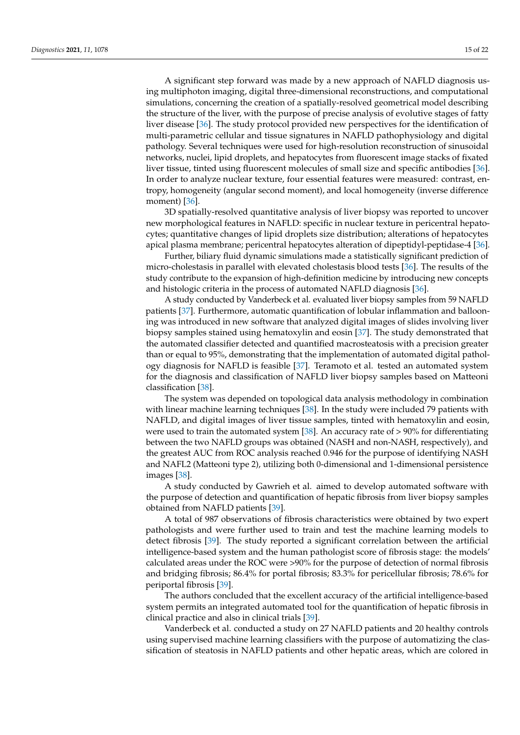A significant step forward was made by a new approach of NAFLD diagnosis using multiphoton imaging, digital three-dimensional reconstructions, and computational simulations, concerning the creation of a spatially-resolved geometrical model describing the structure of the liver, with the purpose of precise analysis of evolutive stages of fatty liver disease [\[36\]](#page-21-17). The study protocol provided new perspectives for the identification of multi-parametric cellular and tissue signatures in NAFLD pathophysiology and digital pathology. Several techniques were used for high-resolution reconstruction of sinusoidal networks, nuclei, lipid droplets, and hepatocytes from fluorescent image stacks of fixated liver tissue, tinted using fluorescent molecules of small size and specific antibodies [\[36\]](#page-21-17). In order to analyze nuclear texture, four essential features were measured: contrast, entropy, homogeneity (angular second moment), and local homogeneity (inverse difference moment) [\[36\]](#page-21-17).

3D spatially-resolved quantitative analysis of liver biopsy was reported to uncover new morphological features in NAFLD: specific in nuclear texture in pericentral hepatocytes; quantitative changes of lipid droplets size distribution; alterations of hepatocytes apical plasma membrane; pericentral hepatocytes alteration of dipeptidyl-peptidase-4 [\[36\]](#page-21-17).

Further, biliary fluid dynamic simulations made a statistically significant prediction of micro-cholestasis in parallel with elevated cholestasis blood tests [\[36\]](#page-21-17). The results of the study contribute to the expansion of high-definition medicine by introducing new concepts and histologic criteria in the process of automated NAFLD diagnosis [\[36\]](#page-21-17).

A study conducted by Vanderbeck et al. evaluated liver biopsy samples from 59 NAFLD patients [\[37\]](#page-21-18). Furthermore, automatic quantification of lobular inflammation and ballooning was introduced in new software that analyzed digital images of slides involving liver biopsy samples stained using hematoxylin and eosin [\[37\]](#page-21-18). The study demonstrated that the automated classifier detected and quantified macrosteatosis with a precision greater than or equal to 95%, demonstrating that the implementation of automated digital pathology diagnosis for NAFLD is feasible [\[37\]](#page-21-18). Teramoto et al. tested an automated system for the diagnosis and classification of NAFLD liver biopsy samples based on Matteoni classification [\[38\]](#page-21-19).

The system was depended on topological data analysis methodology in combination with linear machine learning techniques [\[38\]](#page-21-19). In the study were included 79 patients with NAFLD, and digital images of liver tissue samples, tinted with hematoxylin and eosin, were used to train the automated system [\[38\]](#page-21-19). An accuracy rate of  $> 90\%$  for differentiating between the two NAFLD groups was obtained (NASH and non-NASH, respectively), and the greatest AUC from ROC analysis reached 0.946 for the purpose of identifying NASH and NAFL2 (Matteoni type 2), utilizing both 0-dimensional and 1-dimensional persistence images [\[38\]](#page-21-19).

A study conducted by Gawrieh et al. aimed to develop automated software with the purpose of detection and quantification of hepatic fibrosis from liver biopsy samples obtained from NAFLD patients [\[39\]](#page-21-20).

A total of 987 observations of fibrosis characteristics were obtained by two expert pathologists and were further used to train and test the machine learning models to detect fibrosis [\[39\]](#page-21-20). The study reported a significant correlation between the artificial intelligence-based system and the human pathologist score of fibrosis stage: the models' calculated areas under the ROC were >90% for the purpose of detection of normal fibrosis and bridging fibrosis; 86.4% for portal fibrosis; 83.3% for pericellular fibrosis; 78.6% for periportal fibrosis [\[39\]](#page-21-20).

The authors concluded that the excellent accuracy of the artificial intelligence-based system permits an integrated automated tool for the quantification of hepatic fibrosis in clinical practice and also in clinical trials [\[39\]](#page-21-20).

Vanderbeck et al. conducted a study on 27 NAFLD patients and 20 healthy controls using supervised machine learning classifiers with the purpose of automatizing the classification of steatosis in NAFLD patients and other hepatic areas, which are colored in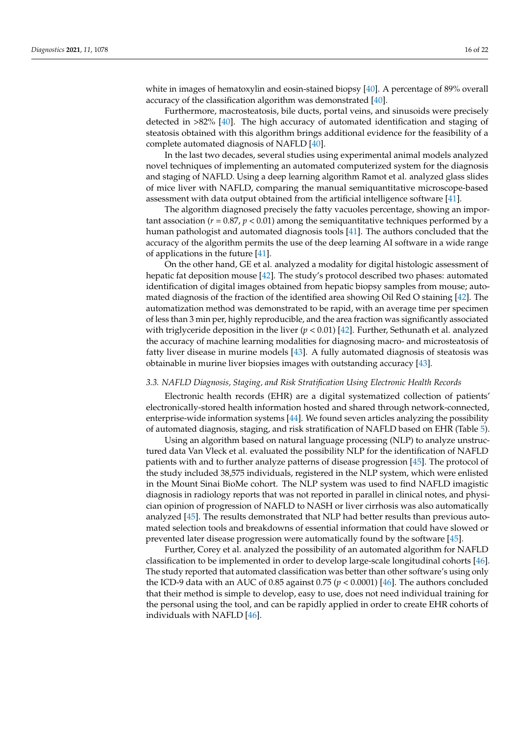white in images of hematoxylin and eosin-stained biopsy [\[40\]](#page-21-21). A percentage of 89% overall accuracy of the classification algorithm was demonstrated [\[40\]](#page-21-21).

Furthermore, macrosteatosis, bile ducts, portal veins, and sinusoids were precisely detected in >82% [\[40\]](#page-21-21). The high accuracy of automated identification and staging of steatosis obtained with this algorithm brings additional evidence for the feasibility of a complete automated diagnosis of NAFLD [\[40\]](#page-21-21).

In the last two decades, several studies using experimental animal models analyzed novel techniques of implementing an automated computerized system for the diagnosis and staging of NAFLD. Using a deep learning algorithm Ramot et al. analyzed glass slides of mice liver with NAFLD, comparing the manual semiquantitative microscope-based assessment with data output obtained from the artificial intelligence software [\[41\]](#page-21-22).

The algorithm diagnosed precisely the fatty vacuoles percentage, showing an important association ( $r = 0.87$ ,  $p < 0.01$ ) among the semiquantitative techniques performed by a human pathologist and automated diagnosis tools [\[41\]](#page-21-22). The authors concluded that the accuracy of the algorithm permits the use of the deep learning AI software in a wide range of applications in the future [\[41\]](#page-21-22).

On the other hand, GE et al. analyzed a modality for digital histologic assessment of hepatic fat deposition mouse [\[42\]](#page-21-23). The study's protocol described two phases: automated identification of digital images obtained from hepatic biopsy samples from mouse; automated diagnosis of the fraction of the identified area showing Oil Red O staining [\[42\]](#page-21-23). The automatization method was demonstrated to be rapid, with an average time per specimen of less than 3 min per, highly reproducible, and the area fraction was significantly associated with triglyceride deposition in the liver (*p* < 0.01) [\[42\]](#page-21-23). Further, Sethunath et al. analyzed the accuracy of machine learning modalities for diagnosing macro- and microsteatosis of fatty liver disease in murine models [\[43\]](#page-21-24). A fully automated diagnosis of steatosis was obtainable in murine liver biopsies images with outstanding accuracy [\[43\]](#page-21-24).

#### *3.3. NAFLD Diagnosis, Staging, and Risk Stratification Using Electronic Health Records*

Electronic health records (EHR) are a digital systematized collection of patients' electronically-stored health information hosted and shared through network-connected, enterprise-wide information systems [\[44\]](#page-21-25). We found seven articles analyzing the possibility of automated diagnosis, staging, and risk stratification of NAFLD based on EHR (Table [5\)](#page-17-0).

Using an algorithm based on natural language processing (NLP) to analyze unstructured data Van Vleck et al. evaluated the possibility NLP for the identification of NAFLD patients with and to further analyze patterns of disease progression [\[45\]](#page-21-26). The protocol of the study included 38,575 individuals, registered in the NLP system, which were enlisted in the Mount Sinai BioMe cohort. The NLP system was used to find NAFLD imagistic diagnosis in radiology reports that was not reported in parallel in clinical notes, and physician opinion of progression of NAFLD to NASH or liver cirrhosis was also automatically analyzed [\[45\]](#page-21-26). The results demonstrated that NLP had better results than previous automated selection tools and breakdowns of essential information that could have slowed or prevented later disease progression were automatically found by the software [\[45\]](#page-21-26).

Further, Corey et al. analyzed the possibility of an automated algorithm for NAFLD classification to be implemented in order to develop large-scale longitudinal cohorts [\[46\]](#page-21-27). The study reported that automated classification was better than other software's using only the ICD-9 data with an AUC of 0.85 against 0.75 ( $p < 0.0001$ ) [\[46\]](#page-21-27). The authors concluded that their method is simple to develop, easy to use, does not need individual training for the personal using the tool, and can be rapidly applied in order to create EHR cohorts of individuals with NAFLD [\[46\]](#page-21-27).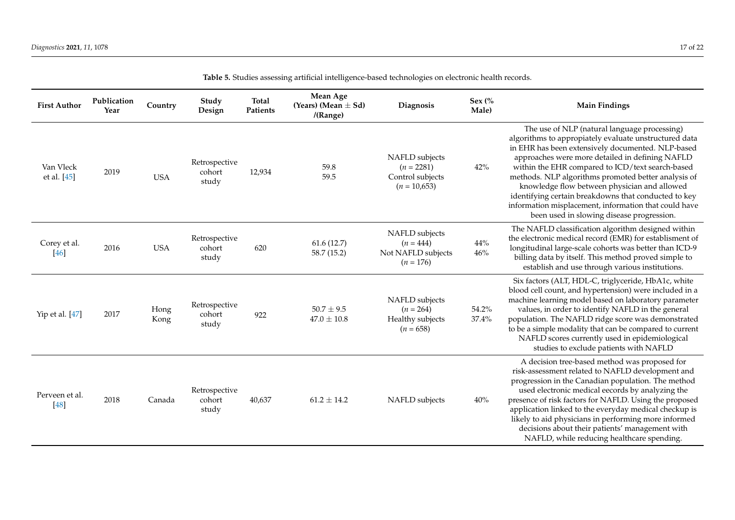| <b>First Author</b>      | Publication<br>Year | Country      | Study<br>Design                  | <b>Total</b><br>Patients | Mean Age<br>(Years) (Mean $\pm$ Sd)<br>/(Range) | Diagnosis                                                            | Sex $\frac{6}{6}$<br>Male) | <b>Main Findings</b>                                                                                                                                                                                                                                                                                                                                                                                                                                                                                                                   |
|--------------------------|---------------------|--------------|----------------------------------|--------------------------|-------------------------------------------------|----------------------------------------------------------------------|----------------------------|----------------------------------------------------------------------------------------------------------------------------------------------------------------------------------------------------------------------------------------------------------------------------------------------------------------------------------------------------------------------------------------------------------------------------------------------------------------------------------------------------------------------------------------|
| Van Vleck<br>et al. [45] | 2019                | <b>USA</b>   | Retrospective<br>cohort<br>study | 12,934                   | 59.8<br>59.5                                    | NAFLD subjects<br>$(n = 2281)$<br>Control subjects<br>$(n = 10,653)$ | 42%                        | The use of NLP (natural language processing)<br>algorithms to appropiately evaluate unstructured data<br>in EHR has been extensively documented. NLP-based<br>approaches were more detailed in defining NAFLD<br>within the EHR compared to ICD/text search-based<br>methods. NLP algorithms promoted better analysis of<br>knowledge flow between physician and allowed<br>identifying certain breakdowns that conducted to key<br>information misplacement, information that could have<br>been used in slowing disease progression. |
| Corey et al.<br>[46]     | 2016                | <b>USA</b>   | Retrospective<br>cohort<br>study | 620                      | 61.6(12.7)<br>58.7 (15.2)                       | NAFLD subjects<br>$(n = 444)$<br>Not NAFLD subjects<br>$(n = 176)$   | $44\%$<br>$46\%$           | The NAFLD classification algorithm designed within<br>the electronic medical record (EMR) for establisment of<br>longitudinal large-scale cohorts was better than ICD-9<br>billing data by itself. This method proved simple to<br>establish and use through various institutions.                                                                                                                                                                                                                                                     |
| Yip et al. [47]          | 2017                | Hong<br>Kong | Retrospective<br>cohort<br>study | 922                      | $50.7 \pm 9.5$<br>$47.0 \pm 10.8$               | NAFLD subjects<br>$(n = 264)$<br>Healthy subjects<br>$(n = 658)$     | 54.2%<br>37.4%             | Six factors (ALT, HDL-C, triglyceride, HbA1c, white<br>blood cell count, and hypertension) were included in a<br>machine learning model based on laboratory parameter<br>values, in order to identify NAFLD in the general<br>population. The NAFLD ridge score was demonstrated<br>to be a simple modality that can be compared to current<br>NAFLD scores currently used in epidemiological<br>studies to exclude patients with NAFLD                                                                                                |
| Perveen et al.<br>[48]   | 2018                | Canada       | Retrospective<br>cohort<br>study | 40,637                   | $61.2 \pm 14.2$                                 | NAFLD subjects                                                       | 40%                        | A decision tree-based method was proposed for<br>risk-assessment related to NAFLD development and<br>progression in the Canadian population. The method<br>used electronic medical eecords by analyzing the<br>presence of risk factors for NAFLD. Using the proposed<br>application linked to the everyday medical checkup is<br>likely to aid physicians in performing more informed<br>decisions about their patients' management with<br>NAFLD, while reducing healthcare spending.                                                |

**Table 5.** Studies assessing artificial intelligence-based technologies on electronic health records.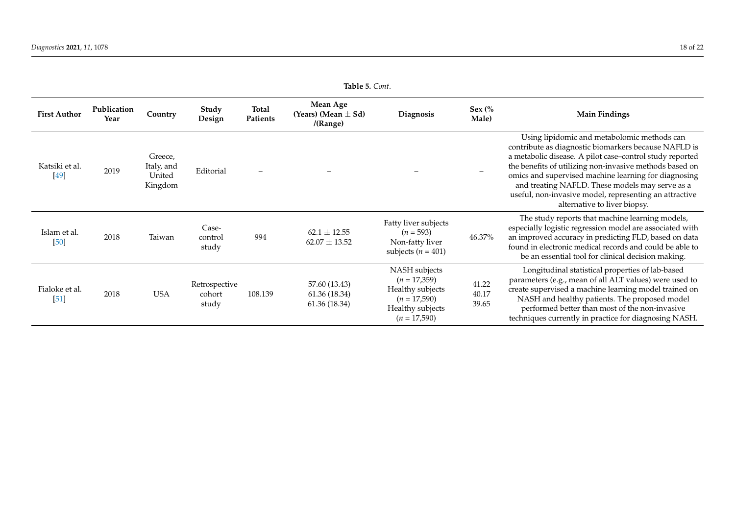<span id="page-17-0"></span>

| Table 5. Cont.           |                     |                                            |                                  |                   |                                                 |                                                                                                             |                            |                                                                                                                                                                                                                                                                                                                                                                                                                                 |
|--------------------------|---------------------|--------------------------------------------|----------------------------------|-------------------|-------------------------------------------------|-------------------------------------------------------------------------------------------------------------|----------------------------|---------------------------------------------------------------------------------------------------------------------------------------------------------------------------------------------------------------------------------------------------------------------------------------------------------------------------------------------------------------------------------------------------------------------------------|
| <b>First Author</b>      | Publication<br>Year | Country                                    | Study<br>Design                  | Total<br>Patients | Mean Age<br>(Years) (Mean $\pm$ Sd)<br>/(Range) | Diagnosis                                                                                                   | Sex $\frac{6}{6}$<br>Male) | <b>Main Findings</b>                                                                                                                                                                                                                                                                                                                                                                                                            |
| Katsiki et al.<br>$[49]$ | 2019                | Greece,<br>Italy, and<br>United<br>Kingdom | Editorial                        |                   |                                                 |                                                                                                             |                            | Using lipidomic and metabolomic methods can<br>contribute as diagnostic biomarkers because NAFLD is<br>a metabolic disease. A pilot case-control study reported<br>the benefits of utilizing non-invasive methods based on<br>omics and supervised machine learning for diagnosing<br>and treating NAFLD. These models may serve as a<br>useful, non-invasive model, representing an attractive<br>alternative to liver biopsy. |
| Islam et al.<br>$[50]$   | 2018                | Taiwan                                     | Case-<br>control<br>study        | 994               | $62.1 \pm 12.55$<br>$62.07 \pm 13.52$           | Fatty liver subjects<br>$(n = 593)$<br>Non-fatty liver<br>subjects ( $n = 401$ )                            | 46.37%                     | The study reports that machine learning models,<br>especially logistic regression model are associated with<br>an improved accuracy in predicting FLD, based on data<br>found in electronic medical records and could be able to<br>be an essential tool for clinical decision making.                                                                                                                                          |
| Fialoke et al.<br>$[51]$ | 2018                | <b>USA</b>                                 | Retrospective<br>cohort<br>study | 108.139           | 57.60 (13.43)<br>61.36 (18.34)<br>61.36 (18.34) | NASH subjects<br>$(n = 17,359)$<br>Healthy subjects<br>$(n = 17,590)$<br>Healthy subjects<br>$(n = 17,590)$ | 41.22<br>40.17<br>39.65    | Longitudinal statistical properties of lab-based<br>parameters (e.g., mean of all ALT values) were used to<br>create supervised a machine learning model trained on<br>NASH and healthy patients. The proposed model<br>performed better than most of the non-invasive<br>techniques currently in practice for diagnosing NASH.                                                                                                 |

**Table 5.** *Cont*.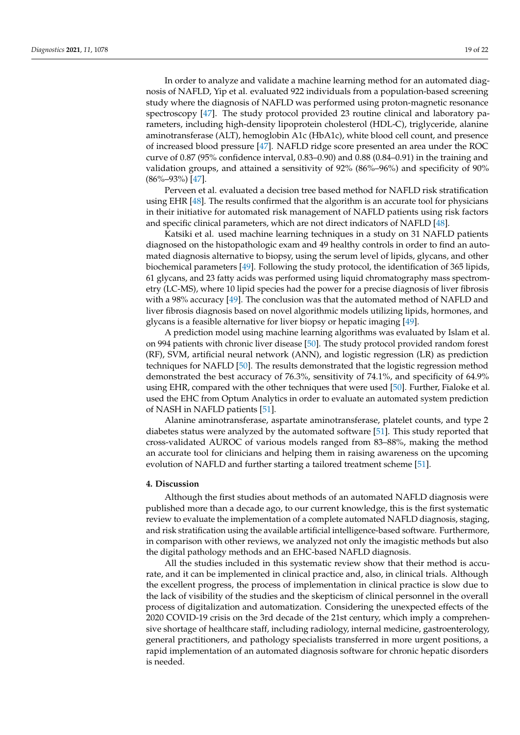In order to analyze and validate a machine learning method for an automated diagnosis of NAFLD, Yip et al. evaluated 922 individuals from a population-based screening study where the diagnosis of NAFLD was performed using proton-magnetic resonance spectroscopy [\[47\]](#page-21-35). The study protocol provided 23 routine clinical and laboratory parameters, including high-density lipoprotein cholesterol (HDL-C), triglyceride, alanine aminotransferase (ALT), hemoglobin A1c (HbA1c), white blood cell count, and presence of increased blood pressure [\[47\]](#page-21-35). NAFLD ridge score presented an area under the ROC curve of 0.87 (95% confidence interval, 0.83–0.90) and 0.88 (0.84–0.91) in the training and validation groups, and attained a sensitivity of 92% (86%–96%) and specificity of 90% (86%–93%) [\[47\]](#page-21-35).

Perveen et al. evaluated a decision tree based method for NAFLD risk stratification using EHR [\[48\]](#page-21-36). The results confirmed that the algorithm is an accurate tool for physicians in their initiative for automated risk management of NAFLD patients using risk factors and specific clinical parameters, which are not direct indicators of NAFLD [\[48\]](#page-21-36).

Katsiki et al. used machine learning techniques in a study on 31 NAFLD patients diagnosed on the histopathologic exam and 49 healthy controls in order to find an automated diagnosis alternative to biopsy, using the serum level of lipids, glycans, and other biochemical parameters [\[49\]](#page-21-37). Following the study protocol, the identification of 365 lipids, 61 glycans, and 23 fatty acids was performed using liquid chromatography mass spectrometry (LC-MS), where 10 lipid species had the power for a precise diagnosis of liver fibrosis with a 98% accuracy [\[49\]](#page-21-37). The conclusion was that the automated method of NAFLD and liver fibrosis diagnosis based on novel algorithmic models utilizing lipids, hormones, and glycans is a feasible alternative for liver biopsy or hepatic imaging [\[49\]](#page-21-37).

A prediction model using machine learning algorithms was evaluated by Islam et al. on 994 patients with chronic liver disease [\[50\]](#page-21-38). The study protocol provided random forest (RF), SVM, artificial neural network (ANN), and logistic regression (LR) as prediction techniques for NAFLD [\[50\]](#page-21-38). The results demonstrated that the logistic regression method demonstrated the best accuracy of 76.3%, sensitivity of 74.1%, and specificity of 64.9% using EHR, compared with the other techniques that were used [\[50\]](#page-21-38). Further, Fialoke et al. used the EHC from Optum Analytics in order to evaluate an automated system prediction of NASH in NAFLD patients [\[51\]](#page-21-39).

Alanine aminotransferase, aspartate aminotransferase, platelet counts, and type 2 diabetes status were analyzed by the automated software [\[51\]](#page-21-39). This study reported that cross-validated AUROC of various models ranged from 83–88%, making the method an accurate tool for clinicians and helping them in raising awareness on the upcoming evolution of NAFLD and further starting a tailored treatment scheme [\[51\]](#page-21-39).

#### **4. Discussion**

Although the first studies about methods of an automated NAFLD diagnosis were published more than a decade ago, to our current knowledge, this is the first systematic review to evaluate the implementation of a complete automated NAFLD diagnosis, staging, and risk stratification using the available artificial intelligence-based software. Furthermore, in comparison with other reviews, we analyzed not only the imagistic methods but also the digital pathology methods and an EHC-based NAFLD diagnosis.

All the studies included in this systematic review show that their method is accurate, and it can be implemented in clinical practice and, also, in clinical trials. Although the excellent progress, the process of implementation in clinical practice is slow due to the lack of visibility of the studies and the skepticism of clinical personnel in the overall process of digitalization and automatization. Considering the unexpected effects of the 2020 COVID-19 crisis on the 3rd decade of the 21st century, which imply a comprehensive shortage of healthcare staff, including radiology, internal medicine, gastroenterology, general practitioners, and pathology specialists transferred in more urgent positions, a rapid implementation of an automated diagnosis software for chronic hepatic disorders is needed.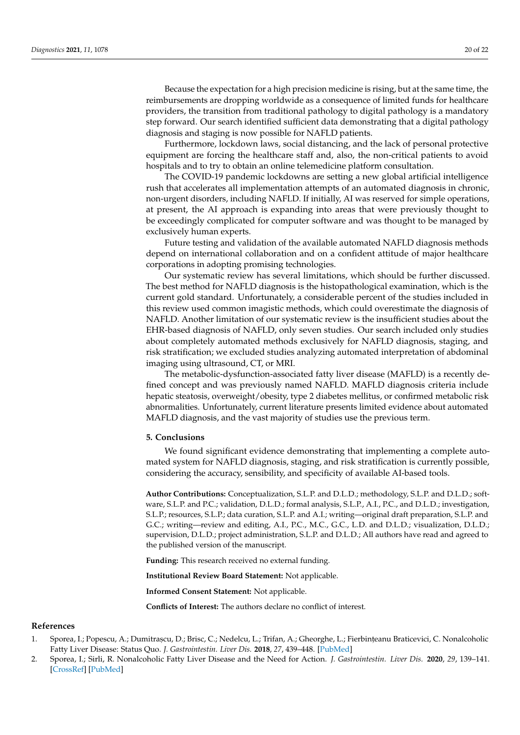Because the expectation for a high precision medicine is rising, but at the same time, the reimbursements are dropping worldwide as a consequence of limited funds for healthcare providers, the transition from traditional pathology to digital pathology is a mandatory step forward. Our search identified sufficient data demonstrating that a digital pathology diagnosis and staging is now possible for NAFLD patients.

Furthermore, lockdown laws, social distancing, and the lack of personal protective equipment are forcing the healthcare staff and, also, the non-critical patients to avoid hospitals and to try to obtain an online telemedicine platform consultation.

The COVID-19 pandemic lockdowns are setting a new global artificial intelligence rush that accelerates all implementation attempts of an automated diagnosis in chronic, non-urgent disorders, including NAFLD. If initially, AI was reserved for simple operations, at present, the AI approach is expanding into areas that were previously thought to be exceedingly complicated for computer software and was thought to be managed by exclusively human experts.

Future testing and validation of the available automated NAFLD diagnosis methods depend on international collaboration and on a confident attitude of major healthcare corporations in adopting promising technologies.

Our systematic review has several limitations, which should be further discussed. The best method for NAFLD diagnosis is the histopathological examination, which is the current gold standard. Unfortunately, a considerable percent of the studies included in this review used common imagistic methods, which could overestimate the diagnosis of NAFLD. Another limitation of our systematic review is the insufficient studies about the EHR-based diagnosis of NAFLD, only seven studies. Our search included only studies about completely automated methods exclusively for NAFLD diagnosis, staging, and risk stratification; we excluded studies analyzing automated interpretation of abdominal imaging using ultrasound, CT, or MRI.

The metabolic-dysfunction-associated fatty liver disease (MAFLD) is a recently defined concept and was previously named NAFLD. MAFLD diagnosis criteria include hepatic steatosis, overweight/obesity, type 2 diabetes mellitus, or confirmed metabolic risk abnormalities. Unfortunately, current literature presents limited evidence about automated MAFLD diagnosis, and the vast majority of studies use the previous term.

#### **5. Conclusions**

We found significant evidence demonstrating that implementing a complete automated system for NAFLD diagnosis, staging, and risk stratification is currently possible, considering the accuracy, sensibility, and specificity of available AI-based tools.

**Author Contributions:** Conceptualization, S.L.P. and D.L.D.; methodology, S.L.P. and D.L.D.; software, S.L.P. and P.C.; validation, D.L.D.; formal analysis, S.L.P., A.I., P.C., and D.L.D.; investigation, S.L.P.; resources, S.L.P.; data curation, S.L.P. and A.I.; writing—original draft preparation, S.L.P. and G.C.; writing—review and editing, A.I., P.C., M.C., G.C., L.D. and D.L.D.; visualization, D.L.D.; supervision, D.L.D.; project administration, S.L.P. and D.L.D.; All authors have read and agreed to the published version of the manuscript.

**Funding:** This research received no external funding.

**Institutional Review Board Statement:** Not applicable.

**Informed Consent Statement:** Not applicable.

**Conflicts of Interest:** The authors declare no conflict of interest.

#### **References**

- <span id="page-19-0"></span>1. Sporea, I.; Popescu, A.; Dumitrascu, D.; Brisc, C.; Nedelcu, L.; Trifan, A.; Gheorghe, L.; Fierbinteanu Braticevici, C. Nonalcoholic Fatty Liver Disease: Status Quo. *J. Gastrointestin. Liver Dis.* **2018**, *27*, 439–448. [\[PubMed\]](http://www.ncbi.nlm.nih.gov/pubmed/30574627)
- <span id="page-19-1"></span>2. Sporea, I.; Sirli, R. Nonalcoholic Fatty Liver Disease and the Need for Action. *J. Gastrointestin. Liver Dis.* **2020**, *29*, 139–141. [\[CrossRef\]](http://doi.org/10.15403/jgld-1463) [\[PubMed\]](http://www.ncbi.nlm.nih.gov/pubmed/32530977)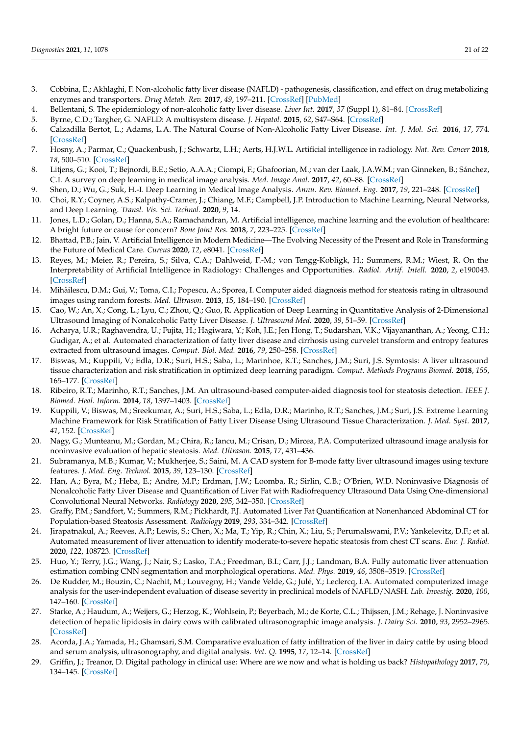- <span id="page-20-16"></span><span id="page-20-9"></span><span id="page-20-0"></span>3. Cobbina, E.; Akhlaghi, F. Non-alcoholic fatty liver disease (NAFLD) - pathogenesis, classification, and effect on drug metabolizing enzymes and transporters. *Drug Metab. Rev.* **2017**, *49*, 197–211. [\[CrossRef\]](http://doi.org/10.1080/03602532.2017.1293683) [\[PubMed\]](http://www.ncbi.nlm.nih.gov/pubmed/28303724)
- <span id="page-20-10"></span><span id="page-20-2"></span>4. Bellentani, S. The epidemiology of non-alcoholic fatty liver disease. *Liver Int.* **2017**, *37* (Suppl 1), 81–84. [\[CrossRef\]](http://doi.org/10.1111/liv.13299)
- 5. Byrne, C.D.; Targher, G. NAFLD: A multisystem disease. *J. Hepatol.* **2015**, *62*, S47–S64. [\[CrossRef\]](http://doi.org/10.1016/j.jhep.2014.12.012)
- <span id="page-20-1"></span>6. Calzadilla Bertot, L.; Adams, L.A. The Natural Course of Non-Alcoholic Fatty Liver Disease. *Int. J. Mol. Sci.* **2016**, *17*, 774. [\[CrossRef\]](http://doi.org/10.3390/ijms17050774)
- <span id="page-20-11"></span><span id="page-20-3"></span>7. Hosny, A.; Parmar, C.; Quackenbush, J.; Schwartz, L.H.; Aerts, H.J.W.L. Artificial intelligence in radiology. *Nat. Rev. Cancer* **2018**, *18*, 500–510. [\[CrossRef\]](http://doi.org/10.1038/s41568-018-0016-5)
- <span id="page-20-12"></span>8. Litjens, G.; Kooi, T.; Bejnordi, B.E.; Setio, A.A.A.; Ciompi, F.; Ghafoorian, M.; van der Laak, J.A.W.M.; van Ginneken, B.; Sánchez, C.I. A survey on deep learning in medical image analysis. *Med. Image Anal.* **2017**, *42*, 60–88. [\[CrossRef\]](http://doi.org/10.1016/j.media.2017.07.005)
- <span id="page-20-13"></span>9. Shen, D.; Wu, G.; Suk, H.-I. Deep Learning in Medical Image Analysis. *Annu. Rev. Biomed. Eng.* **2017**, *19*, 221–248. [\[CrossRef\]](http://doi.org/10.1146/annurev-bioeng-071516-044442)
- 10. Choi, R.Y.; Coyner, A.S.; Kalpathy-Cramer, J.; Chiang, M.F.; Campbell, J.P. Introduction to Machine Learning, Neural Networks, and Deep Learning. *Transl. Vis. Sci. Technol.* **2020**, *9*, 14.
- <span id="page-20-14"></span><span id="page-20-4"></span>11. Jones, L.D.; Golan, D.; Hanna, S.A.; Ramachandran, M. Artificial intelligence, machine learning and the evolution of healthcare: A bright future or cause for concern? *Bone Joint Res.* **2018**, *7*, 223–225. [\[CrossRef\]](http://doi.org/10.1302/2046-3758.73.BJR-2017-0147.R1)
- <span id="page-20-15"></span>12. Bhattad, P.B.; Jain, V. Artificial Intelligence in Modern Medicine—The Evolving Necessity of the Present and Role in Transforming the Future of Medical Care. *Cureus* **2020**, *12*, e8041. [\[CrossRef\]](http://doi.org/10.7759/cureus.8041)
- <span id="page-20-17"></span><span id="page-20-5"></span>13. Reyes, M.; Meier, R.; Pereira, S.; Silva, C.A.; Dahlweid, F.-M.; von Tengg-Kobligk, H.; Summers, R.M.; Wiest, R. On the Interpretability of Artificial Intelligence in Radiology: Challenges and Opportunities. *Radiol. Artif. Intell.* **2020**, *2*, e190043. [\[CrossRef\]](http://doi.org/10.1148/ryai.2020190043)
- <span id="page-20-18"></span><span id="page-20-6"></span>14. Mihăilescu, D.M.; Gui, V.; Toma, C.I.; Popescu, A.; Sporea, I. Computer aided diagnosis method for steatosis rating in ultrasound images using random forests. *Med. Ultrason.* **2013**, *15*, 184–190. [\[CrossRef\]](http://doi.org/10.11152/mu.2013.2066.153.dmm1vg2)
- <span id="page-20-19"></span><span id="page-20-7"></span>15. Cao, W.; An, X.; Cong, L.; Lyu, C.; Zhou, Q.; Guo, R. Application of Deep Learning in Quantitative Analysis of 2-Dimensional Ultrasound Imaging of Nonalcoholic Fatty Liver Disease. *J. Ultrasound Med.* **2020**, *39*, 51–59. [\[CrossRef\]](http://doi.org/10.1002/jum.15070)
- <span id="page-20-20"></span><span id="page-20-8"></span>16. Acharya, U.R.; Raghavendra, U.; Fujita, H.; Hagiwara, Y.; Koh, J.E.; Jen Hong, T.; Sudarshan, V.K.; Vijayananthan, A.; Yeong, C.H.; Gudigar, A.; et al. Automated characterization of fatty liver disease and cirrhosis using curvelet transform and entropy features extracted from ultrasound images. *Comput. Biol. Med.* **2016**, *79*, 250–258. [\[CrossRef\]](http://doi.org/10.1016/j.compbiomed.2016.10.022)
- <span id="page-20-24"></span><span id="page-20-21"></span>17. Biswas, M.; Kuppili, V.; Edla, D.R.; Suri, H.S.; Saba, L.; Marinhoe, R.T.; Sanches, J.M.; Suri, J.S. Symtosis: A liver ultrasound tissue characterization and risk stratification in optimized deep learning paradigm. *Comput. Methods Programs Biomed.* **2018**, *155*, 165–177. [\[CrossRef\]](http://doi.org/10.1016/j.cmpb.2017.12.016)
- <span id="page-20-25"></span><span id="page-20-22"></span>18. Ribeiro, R.T.; Marinho, R.T.; Sanches, J.M. An ultrasound-based computer-aided diagnosis tool for steatosis detection. *IEEE J. Biomed. Heal. Inform.* **2014**, *18*, 1397–1403. [\[CrossRef\]](http://doi.org/10.1109/JBHI.2013.2284785)
- <span id="page-20-26"></span><span id="page-20-23"></span>19. Kuppili, V.; Biswas, M.; Sreekumar, A.; Suri, H.S.; Saba, L.; Edla, D.R.; Marinho, R.T.; Sanches, J.M.; Suri, J.S. Extreme Learning Machine Framework for Risk Stratification of Fatty Liver Disease Using Ultrasound Tissue Characterization. *J. Med. Syst.* **2017**, *41*, 152. [\[CrossRef\]](http://doi.org/10.1007/s10916-017-0797-1)
- <span id="page-20-37"></span><span id="page-20-27"></span>20. Nagy, G.; Munteanu, M.; Gordan, M.; Chira, R.; Iancu, M.; Crisan, D.; Mircea, P.A. Computerized ultrasound image analysis for noninvasive evaluation of hepatic steatosis. *Med. Ultrason.* **2015**, *17*, 431–436.
- <span id="page-20-28"></span>21. Subramanya, M.B.; Kumar, V.; Mukherjee, S.; Saini, M. A CAD system for B-mode fatty liver ultrasound images using texture features. *J. Med. Eng. Technol.* **2015**, *39*, 123–130. [\[CrossRef\]](http://doi.org/10.3109/03091902.2014.990160)
- <span id="page-20-29"></span>22. Han, A.; Byra, M.; Heba, E.; Andre, M.P.; Erdman, J.W.; Loomba, R.; Sirlin, C.B.; O'Brien, W.D. Noninvasive Diagnosis of Nonalcoholic Fatty Liver Disease and Quantification of Liver Fat with Radiofrequency Ultrasound Data Using One-dimensional Convolutional Neural Networks. *Radiology* **2020**, *295*, 342–350. [\[CrossRef\]](http://doi.org/10.1148/radiol.2020191160)
- <span id="page-20-30"></span>23. Graffy, P.M.; Sandfort, V.; Summers, R.M.; Pickhardt, P.J. Automated Liver Fat Quantification at Nonenhanced Abdominal CT for Population-based Steatosis Assessment. *Radiology* **2019**, *293*, 334–342. [\[CrossRef\]](http://doi.org/10.1148/radiol.2019190512)
- <span id="page-20-31"></span>24. Jirapatnakul, A.; Reeves, A.P.; Lewis, S.; Chen, X.; Ma, T.; Yip, R.; Chin, X.; Liu, S.; Perumalswami, P.V.; Yankelevitz, D.F.; et al. Automated measurement of liver attenuation to identify moderate-to-severe hepatic steatosis from chest CT scans. *Eur. J. Radiol.* **2020**, *122*, 108723. [\[CrossRef\]](http://doi.org/10.1016/j.ejrad.2019.108723)
- <span id="page-20-32"></span>25. Huo, Y.; Terry, J.G.; Wang, J.; Nair, S.; Lasko, T.A.; Freedman, B.I.; Carr, J.J.; Landman, B.A. Fully automatic liver attenuation estimation combing CNN segmentation and morphological operations. *Med. Phys.* **2019**, *46*, 3508–3519. [\[CrossRef\]](http://doi.org/10.1002/mp.13675)
- <span id="page-20-33"></span>26. De Rudder, M.; Bouzin, C.; Nachit, M.; Louvegny, H.; Vande Velde, G.; Julé, Y.; Leclercq, I.A. Automated computerized image analysis for the user-independent evaluation of disease severity in preclinical models of NAFLD/NASH. *Lab. Investig.* **2020**, *100*, 147–160. [\[CrossRef\]](http://doi.org/10.1038/s41374-019-0315-9)
- <span id="page-20-34"></span>27. Starke, A.; Haudum, A.; Weijers, G.; Herzog, K.; Wohlsein, P.; Beyerbach, M.; de Korte, C.L.; Thijssen, J.M.; Rehage, J. Noninvasive detection of hepatic lipidosis in dairy cows with calibrated ultrasonographic image analysis. *J. Dairy Sci.* **2010**, *93*, 2952–2965. [\[CrossRef\]](http://doi.org/10.3168/jds.2009-2684)
- <span id="page-20-35"></span>28. Acorda, J.A.; Yamada, H.; Ghamsari, S.M. Comparative evaluation of fatty infiltration of the liver in dairy cattle by using blood and serum analysis, ultrasonography, and digital analysis. *Vet. Q.* **1995**, *17*, 12–14. [\[CrossRef\]](http://doi.org/10.1080/01652176.1995.9694522)
- <span id="page-20-36"></span>29. Griffin, J.; Treanor, D. Digital pathology in clinical use: Where are we now and what is holding us back? *Histopathology* **2017**, *70*, 134–145. [\[CrossRef\]](http://doi.org/10.1111/his.12993)